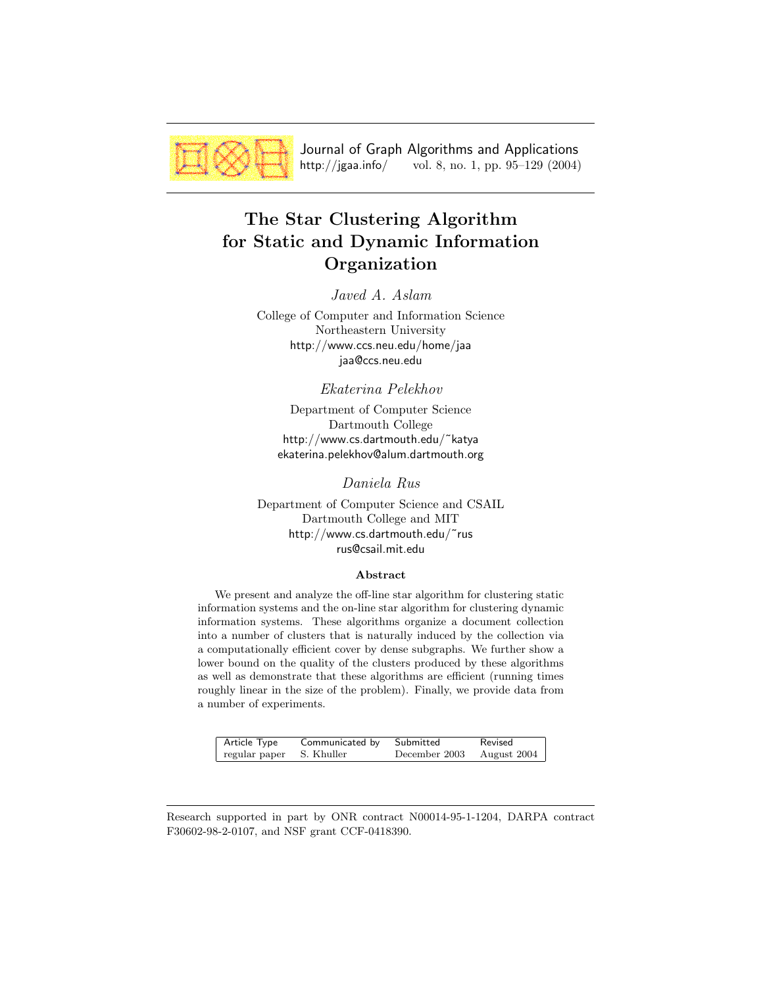

## Journal of Graph Algorithms and Applications http://jgaa.info/ vol. 8, no. 1, pp. 95–129  $(2004)$

# **The Star Clustering Algorithm for Static and Dynamic Information Organization**

*Javed A. Aslam*

College of Computer and Information Science Northeastern University http://www.ccs.neu.edu/home/jaa jaa@ccs.neu.edu

*Ekaterina Pelekhov*

Department of Computer Science Dartmouth College http://www.cs.dartmouth.edu/˜katya ekaterina.pelekhov@alum.dartmouth.org

*Daniela Rus*

Department of Computer Science and CSAIL Dartmouth College and MIT http://www.cs.dartmouth.edu/˜rus rus@csail.mit.edu

#### **Abstract**

We present and analyze the off-line star algorithm for clustering static information systems and the on-line star algorithm for clustering dynamic information systems. These algorithms organize a document collection into a number of clusters that is naturally induced by the collection via a computationally efficient cover by dense subgraphs. We further show a lower bound on the quality of the clusters produced by these algorithms as well as demonstrate that these algorithms are efficient (running times roughly linear in the size of the problem). Finally, we provide data from a number of experiments.

| Article Type  | Communicated by | Submitted     | Revised     |
|---------------|-----------------|---------------|-------------|
| regular paper | S. Khuller      | December 2003 | August 2004 |

Research supported in part by ONR contract N00014-95-1-1204, DARPA contract F30602-98-2-0107, and NSF grant CCF-0418390.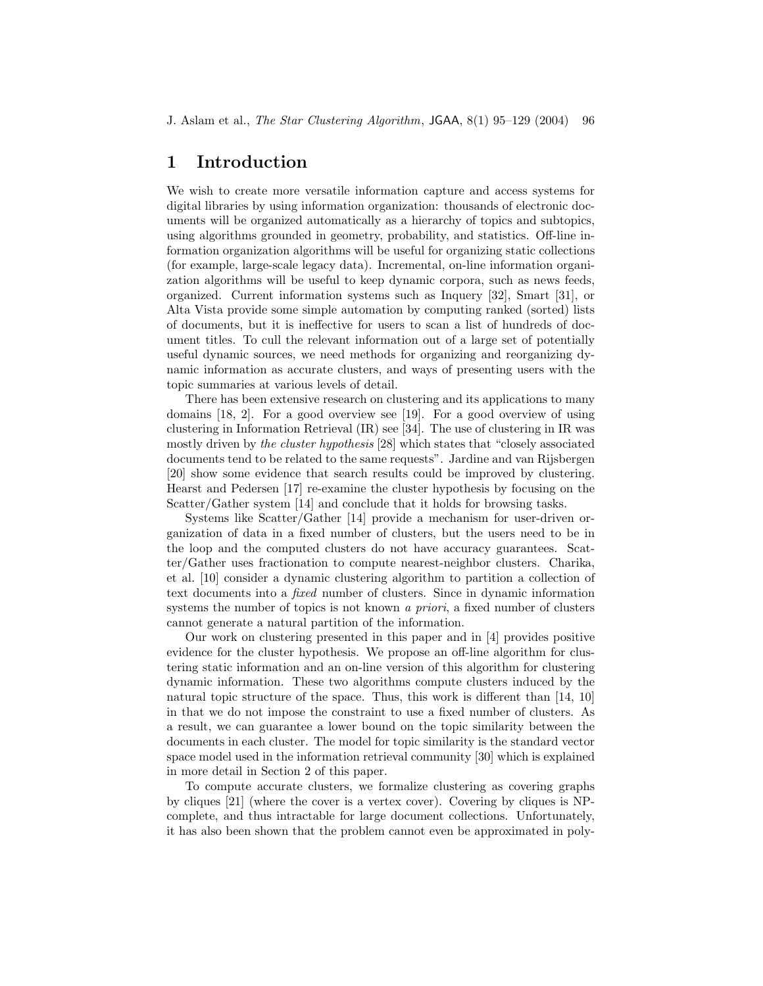# **1 Introduction**

We wish to create more versatile information capture and access systems for digital libraries by using information organization: thousands of electronic documents will be organized automatically as a hierarchy of topics and subtopics, using algorithms grounded in geometry, probability, and statistics. Off-line information organization algorithms will be useful for organizing static collections (for example, large-scale legacy data). Incremental, on-line information organization algorithms will be useful to keep dynamic corpora, such as news feeds, organized. Current information systems such as Inquery [32], Smart [31], or Alta Vista provide some simple automation by computing ranked (sorted) lists of documents, but it is ineffective for users to scan a list of hundreds of document titles. To cull the relevant information out of a large set of potentially useful dynamic sources, we need methods for organizing and reorganizing dynamic information as accurate clusters, and ways of presenting users with the topic summaries at various levels of detail.

There has been extensive research on clustering and its applications to many domains [18, 2]. For a good overview see [19]. For a good overview of using clustering in Information Retrieval (IR) see [34]. The use of clustering in IR was mostly driven by *the cluster hypothesis* [28] which states that "closely associated documents tend to be related to the same requests". Jardine and van Rijsbergen [20] show some evidence that search results could be improved by clustering. Hearst and Pedersen [17] re-examine the cluster hypothesis by focusing on the Scatter/Gather system [14] and conclude that it holds for browsing tasks.

Systems like Scatter/Gather [14] provide a mechanism for user-driven organization of data in a fixed number of clusters, but the users need to be in the loop and the computed clusters do not have accuracy guarantees. Scatter/Gather uses fractionation to compute nearest-neighbor clusters. Charika, et al. [10] consider a dynamic clustering algorithm to partition a collection of text documents into a *fixed* number of clusters. Since in dynamic information systems the number of topics is not known *a priori*, a fixed number of clusters cannot generate a natural partition of the information.

Our work on clustering presented in this paper and in [4] provides positive evidence for the cluster hypothesis. We propose an off-line algorithm for clustering static information and an on-line version of this algorithm for clustering dynamic information. These two algorithms compute clusters induced by the natural topic structure of the space. Thus, this work is different than [14, 10] in that we do not impose the constraint to use a fixed number of clusters. As a result, we can guarantee a lower bound on the topic similarity between the documents in each cluster. The model for topic similarity is the standard vector space model used in the information retrieval community [30] which is explained in more detail in Section 2 of this paper.

To compute accurate clusters, we formalize clustering as covering graphs by cliques [21] (where the cover is a vertex cover). Covering by cliques is NPcomplete, and thus intractable for large document collections. Unfortunately, it has also been shown that the problem cannot even be approximated in poly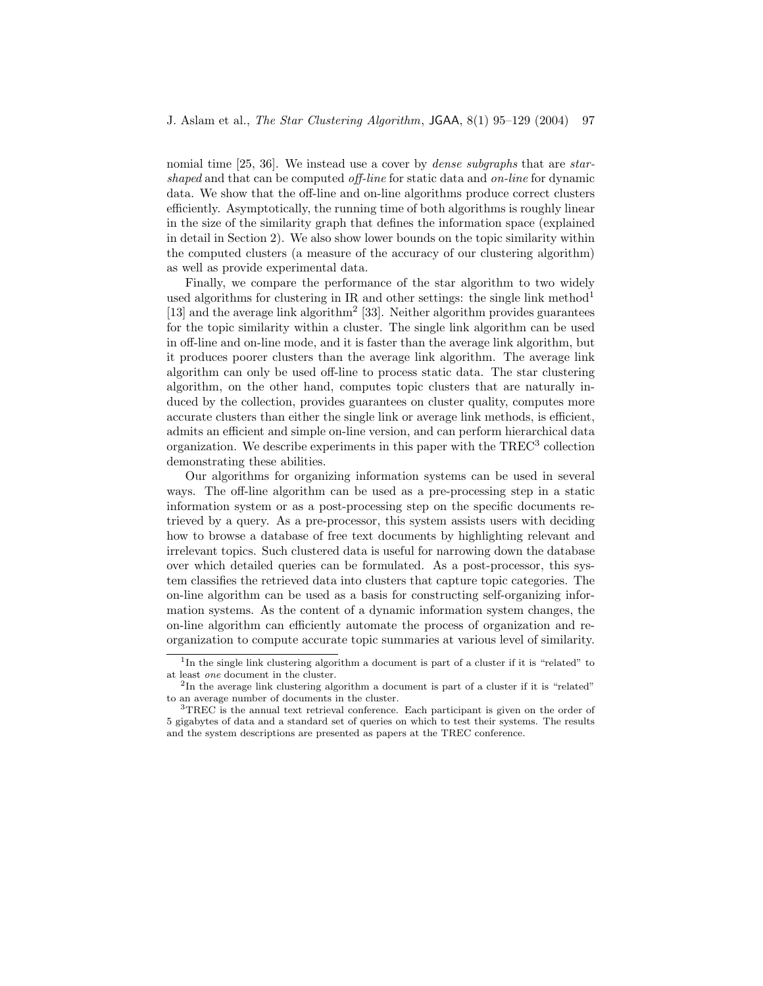nomial time [25, 36]. We instead use a cover by *dense subgraphs* that are *starshaped* and that can be computed *off-line* for static data and *on-line* for dynamic data. We show that the off-line and on-line algorithms produce correct clusters efficiently. Asymptotically, the running time of both algorithms is roughly linear in the size of the similarity graph that defines the information space (explained in detail in Section 2). We also show lower bounds on the topic similarity within the computed clusters (a measure of the accuracy of our clustering algorithm) as well as provide experimental data.

Finally, we compare the performance of the star algorithm to two widely used algorithms for clustering in IR and other settings: the single link method<sup>1</sup> [13] and the average link algorithm<sup>2</sup> [33]. Neither algorithm provides guarantees for the topic similarity within a cluster. The single link algorithm can be used in off-line and on-line mode, and it is faster than the average link algorithm, but it produces poorer clusters than the average link algorithm. The average link algorithm can only be used off-line to process static data. The star clustering algorithm, on the other hand, computes topic clusters that are naturally induced by the collection, provides guarantees on cluster quality, computes more accurate clusters than either the single link or average link methods, is efficient, admits an efficient and simple on-line version, and can perform hierarchical data organization. We describe experiments in this paper with the TREC<sup>3</sup> collection demonstrating these abilities.

Our algorithms for organizing information systems can be used in several ways. The off-line algorithm can be used as a pre-processing step in a static information system or as a post-processing step on the specific documents retrieved by a query. As a pre-processor, this system assists users with deciding how to browse a database of free text documents by highlighting relevant and irrelevant topics. Such clustered data is useful for narrowing down the database over which detailed queries can be formulated. As a post-processor, this system classifies the retrieved data into clusters that capture topic categories. The on-line algorithm can be used as a basis for constructing self-organizing information systems. As the content of a dynamic information system changes, the on-line algorithm can efficiently automate the process of organization and reorganization to compute accurate topic summaries at various level of similarity.

<sup>&</sup>lt;sup>1</sup>In the single link clustering algorithm a document is part of a cluster if it is "related" to at least *one* document in the cluster.

<sup>2</sup>In the average link clustering algorithm a document is part of a cluster if it is "related" to an average number of documents in the cluster.

<sup>3</sup>TREC is the annual text retrieval conference. Each participant is given on the order of 5 gigabytes of data and a standard set of queries on which to test their systems. The results and the system descriptions are presented as papers at the TREC conference.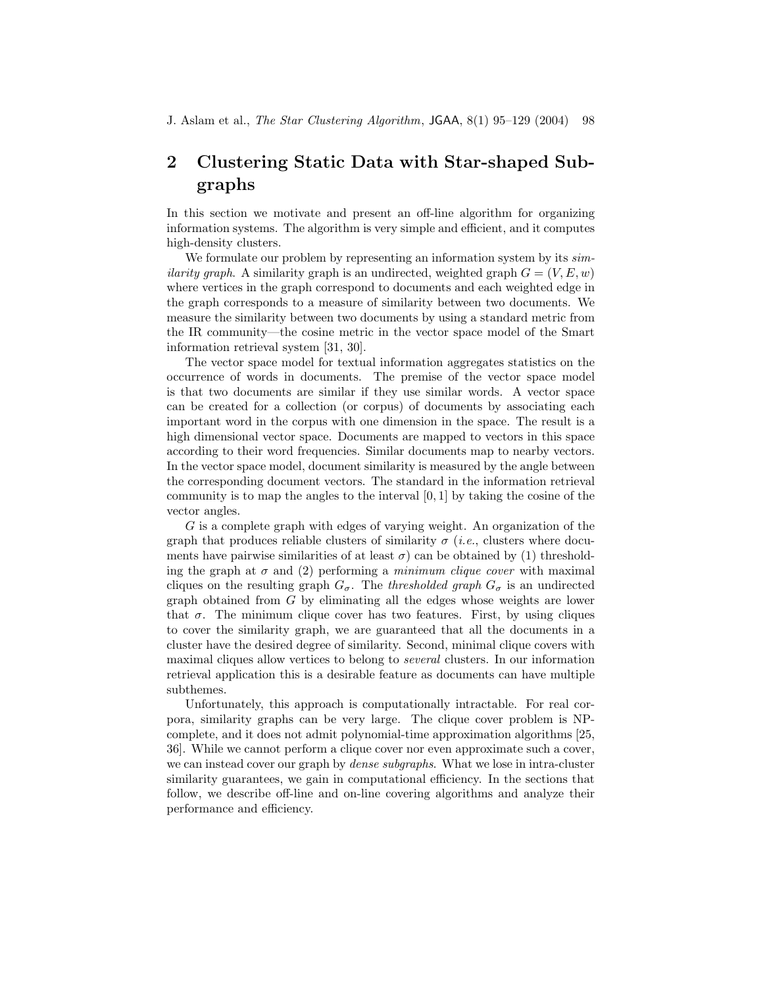# **2 Clustering Static Data with Star-shaped Subgraphs**

In this section we motivate and present an off-line algorithm for organizing information systems. The algorithm is very simple and efficient, and it computes high-density clusters.

We formulate our problem by representing an information system by its *similarity graph*. A similarity graph is an undirected, weighted graph  $G = (V, E, w)$ where vertices in the graph correspond to documents and each weighted edge in the graph corresponds to a measure of similarity between two documents. We measure the similarity between two documents by using a standard metric from the IR community—the cosine metric in the vector space model of the Smart information retrieval system [31, 30].

The vector space model for textual information aggregates statistics on the occurrence of words in documents. The premise of the vector space model is that two documents are similar if they use similar words. A vector space can be created for a collection (or corpus) of documents by associating each important word in the corpus with one dimension in the space. The result is a high dimensional vector space. Documents are mapped to vectors in this space according to their word frequencies. Similar documents map to nearby vectors. In the vector space model, document similarity is measured by the angle between the corresponding document vectors. The standard in the information retrieval community is to map the angles to the interval  $[0, 1]$  by taking the cosine of the vector angles.

G is a complete graph with edges of varying weight. An organization of the graph that produces reliable clusters of similarity  $\sigma$  (*i.e.*, clusters where documents have pairwise similarities of at least  $\sigma$ ) can be obtained by (1) thresholding the graph at  $\sigma$  and (2) performing a *minimum clique cover* with maximal cliques on the resulting graph  $G_{\sigma}$ . The *thresholded graph*  $G_{\sigma}$  is an undirected graph obtained from G by eliminating all the edges whose weights are lower that  $\sigma$ . The minimum clique cover has two features. First, by using cliques to cover the similarity graph, we are guaranteed that all the documents in a cluster have the desired degree of similarity. Second, minimal clique covers with maximal cliques allow vertices to belong to *several* clusters. In our information retrieval application this is a desirable feature as documents can have multiple subthemes.

Unfortunately, this approach is computationally intractable. For real corpora, similarity graphs can be very large. The clique cover problem is NPcomplete, and it does not admit polynomial-time approximation algorithms [25, 36]. While we cannot perform a clique cover nor even approximate such a cover, we can instead cover our graph by *dense subgraphs*. What we lose in intra-cluster similarity guarantees, we gain in computational efficiency. In the sections that follow, we describe off-line and on-line covering algorithms and analyze their performance and efficiency.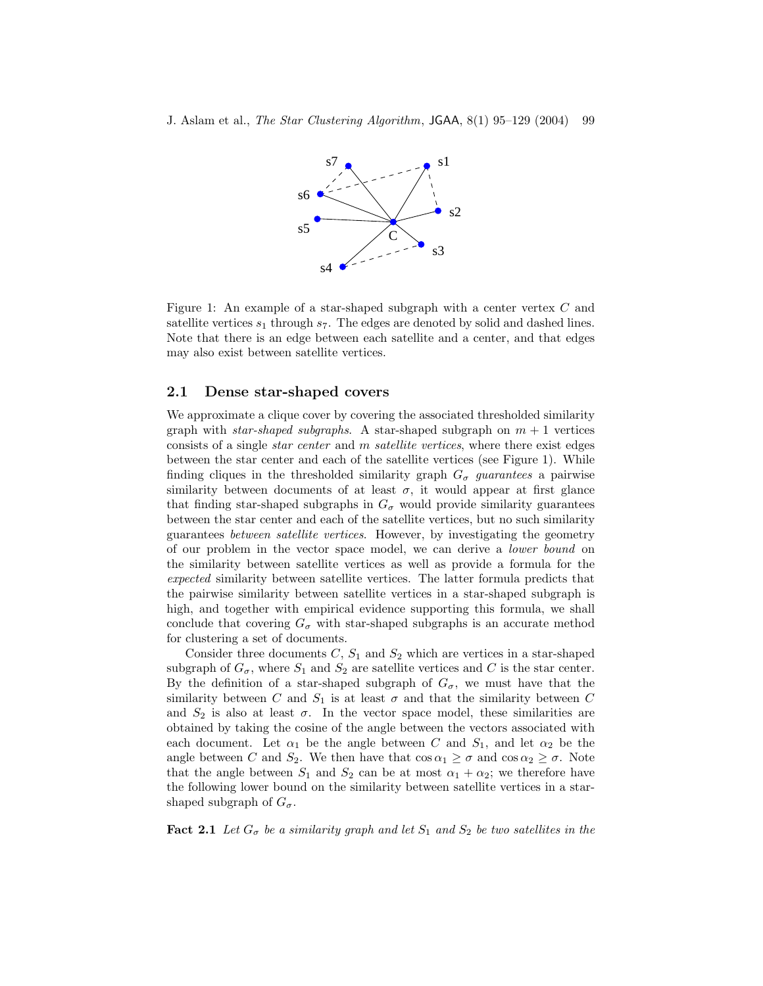

Figure 1: An example of a star-shaped subgraph with a center vertex  $C$  and satellite vertices  $s_1$  through  $s_7$ . The edges are denoted by solid and dashed lines. Note that there is an edge between each satellite and a center, and that edges may also exist between satellite vertices.

### **2.1 Dense star-shaped covers**

We approximate a clique cover by covering the associated thresholded similarity graph with *star-shaped subgraphs*. A star-shaped subgraph on  $m + 1$  vertices consists of a single *star center* and m *satellite vertices*, where there exist edges between the star center and each of the satellite vertices (see Figure 1). While finding cliques in the thresholded similarity graph  $G_{\sigma}$  *guarantees* a pairwise similarity between documents of at least  $\sigma$ , it would appear at first glance that finding star-shaped subgraphs in  $G_{\sigma}$  would provide similarity guarantees between the star center and each of the satellite vertices, but no such similarity guarantees *between satellite vertices*. However, by investigating the geometry of our problem in the vector space model, we can derive a *lower bound* on the similarity between satellite vertices as well as provide a formula for the *expected* similarity between satellite vertices. The latter formula predicts that the pairwise similarity between satellite vertices in a star-shaped subgraph is high, and together with empirical evidence supporting this formula, we shall conclude that covering  $G_{\sigma}$  with star-shaped subgraphs is an accurate method for clustering a set of documents.

Consider three documents C,  $S_1$  and  $S_2$  which are vertices in a star-shaped subgraph of  $G_{\sigma}$ , where  $S_1$  and  $S_2$  are satellite vertices and C is the star center. By the definition of a star-shaped subgraph of  $G_{\sigma}$ , we must have that the similarity between C and  $S_1$  is at least  $\sigma$  and that the similarity between C and  $S_2$  is also at least  $\sigma$ . In the vector space model, these similarities are obtained by taking the cosine of the angle between the vectors associated with each document. Let  $\alpha_1$  be the angle between C and  $S_1$ , and let  $\alpha_2$  be the angle between C and  $S_2$ . We then have that  $\cos \alpha_1 \geq \sigma$  and  $\cos \alpha_2 \geq \sigma$ . Note that the angle between  $S_1$  and  $S_2$  can be at most  $\alpha_1 + \alpha_2$ ; we therefore have the following lower bound on the similarity between satellite vertices in a starshaped subgraph of  $G_{\sigma}$ .

**Fact 2.1** Let  $G_{\sigma}$  be a similarity graph and let  $S_1$  and  $S_2$  be two satellites in the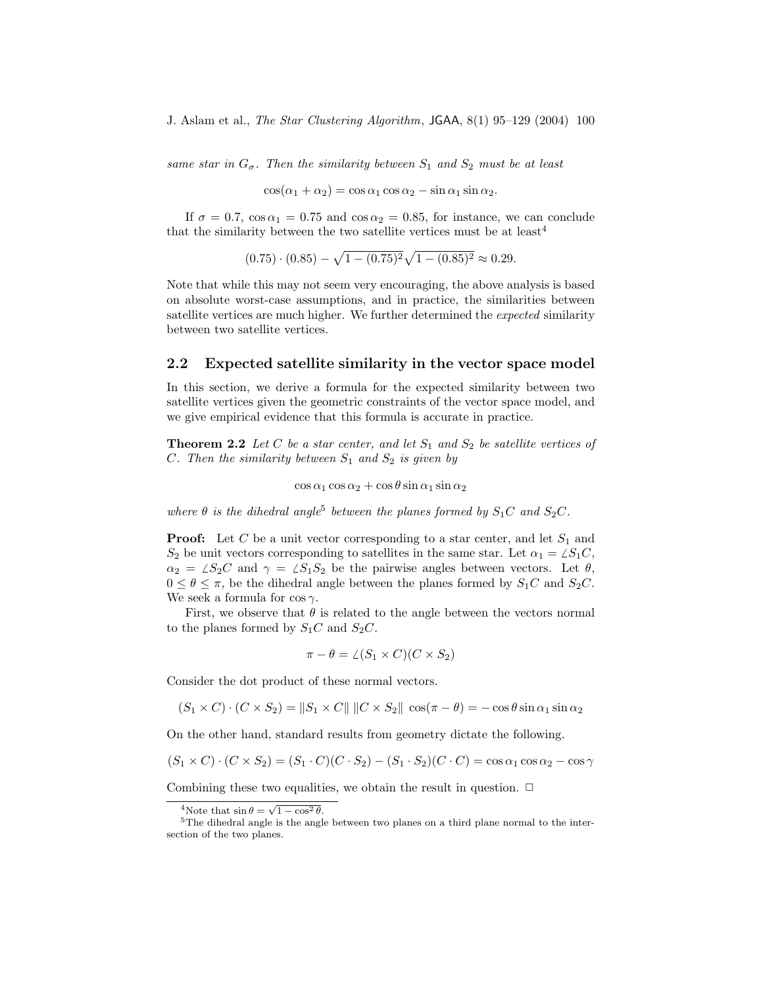*same star in*  $G_{\sigma}$ . Then the similarity between  $S_1$  and  $S_2$  must be at least

$$
\cos(\alpha_1 + \alpha_2) = \cos \alpha_1 \cos \alpha_2 - \sin \alpha_1 \sin \alpha_2.
$$

If  $\sigma = 0.7$ ,  $\cos \alpha_1 = 0.75$  and  $\cos \alpha_2 = 0.85$ , for instance, we can conclude that the similarity between the two satellite vertices must be at least<sup>4</sup>

 $(0.75) \cdot (0.85) - \sqrt{1 - (0.75)^2} \sqrt{1 - (0.85)^2} \approx 0.29.$ 

Note that while this may not seem very encouraging, the above analysis is based on absolute worst-case assumptions, and in practice, the similarities between satellite vertices are much higher. We further determined the *expected* similarity between two satellite vertices.

### **2.2 Expected satellite similarity in the vector space model**

In this section, we derive a formula for the expected similarity between two satellite vertices given the geometric constraints of the vector space model, and we give empirical evidence that this formula is accurate in practice.

**Theorem 2.2** *Let*  $C$  *be a star center, and let*  $S_1$  *and*  $S_2$  *be satellite vertices of C.* Then the similarity between  $S_1$  and  $S_2$  is given by

 $\cos \alpha_1 \cos \alpha_2 + \cos \theta \sin \alpha_1 \sin \alpha_2$ 

*where*  $\theta$  *is the dihedral angle*<sup>5</sup> *between the planes formed by*  $S_1C$  *and*  $S_2C$ *.* 

**Proof:** Let C be a unit vector corresponding to a star center, and let  $S_1$  and  $S_2$  be unit vectors corresponding to satellites in the same star. Let  $\alpha_1 = \angle S_1 C$ ,  $\alpha_2 = \angle S_2C$  and  $\gamma = \angle S_1S_2$  be the pairwise angles between vectors. Let  $\theta$ ,  $0 \le \theta \le \pi$ , be the dihedral angle between the planes formed by  $S_1C$  and  $S_2C$ . We seek a formula for  $\cos \gamma$ .

First, we observe that  $\theta$  is related to the angle between the vectors normal to the planes formed by  $S_1C$  and  $S_2C$ .

$$
\pi - \theta = \angle (S_1 \times C)(C \times S_2)
$$

Consider the dot product of these normal vectors.

$$
(S_1 \times C) \cdot (C \times S_2) = ||S_1 \times C|| \, ||C \times S_2|| \, \cos(\pi - \theta) = -\cos\theta \sin\alpha_1 \sin\alpha_2
$$

On the other hand, standard results from geometry dictate the following.

 $(S_1 \times C) \cdot (C \times S_2) = (S_1 \cdot C)(C \cdot S_2) - (S_1 \cdot S_2)(C \cdot C) = \cos \alpha_1 \cos \alpha_2 - \cos \gamma$ 

Combining these two equalities, we obtain the result in question.  $\Box$ 

<sup>&</sup>lt;sup>4</sup>Note that  $\sin \theta = \sqrt{1 - \cos^2 \theta}$ .<br><sup>5</sup>The dihedral angle is the angle between two planes on a third plane normal to the intersection of the two planes.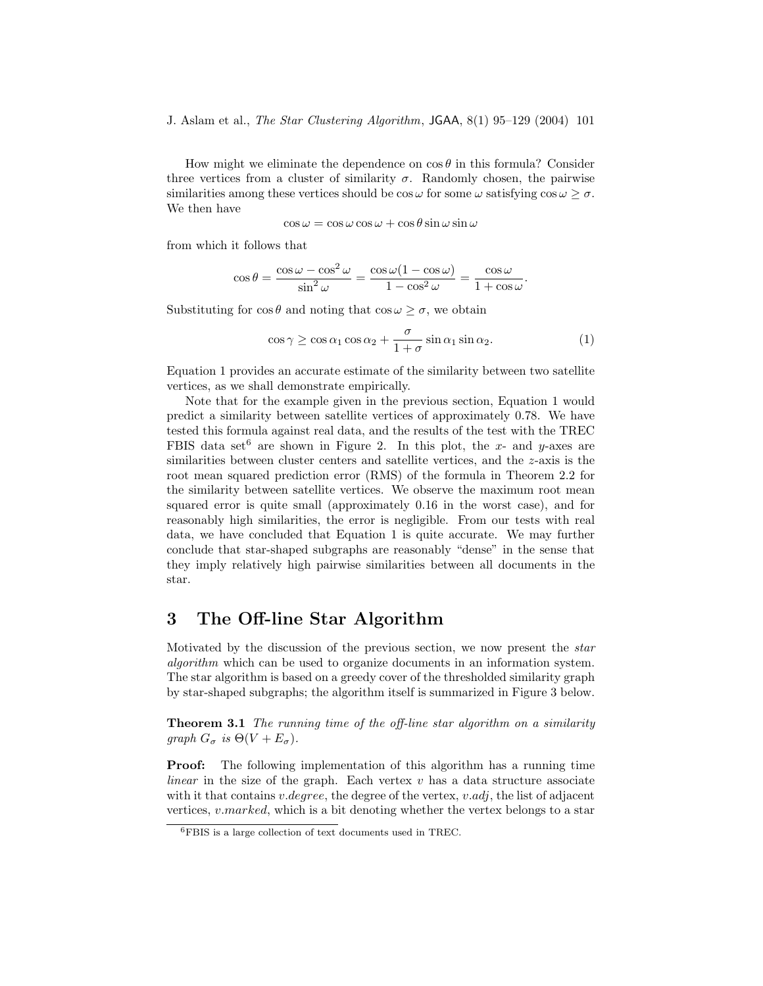How might we eliminate the dependence on  $\cos \theta$  in this formula? Consider three vertices from a cluster of similarity  $\sigma$ . Randomly chosen, the pairwise similarities among these vertices should be  $\cos \omega$  for some  $\omega$  satisfying  $\cos \omega \geq \sigma$ . We then have

$$
\cos \omega = \cos \omega \cos \omega + \cos \theta \sin \omega \sin \omega
$$

from which it follows that

$$
\cos \theta = \frac{\cos \omega - \cos^2 \omega}{\sin^2 \omega} = \frac{\cos \omega (1 - \cos \omega)}{1 - \cos^2 \omega} = \frac{\cos \omega}{1 + \cos \omega}.
$$

Substituting for  $\cos \theta$  and noting that  $\cos \omega \geq \sigma$ , we obtain

$$
\cos \gamma \ge \cos \alpha_1 \cos \alpha_2 + \frac{\sigma}{1 + \sigma} \sin \alpha_1 \sin \alpha_2. \tag{1}
$$

Equation 1 provides an accurate estimate of the similarity between two satellite vertices, as we shall demonstrate empirically.

Note that for the example given in the previous section, Equation 1 would predict a similarity between satellite vertices of approximately 0.78. We have tested this formula against real data, and the results of the test with the TREC FBIS data set<sup>6</sup> are shown in Figure 2. In this plot, the x- and y-axes are similarities between cluster centers and satellite vertices, and the z-axis is the root mean squared prediction error (RMS) of the formula in Theorem 2.2 for the similarity between satellite vertices. We observe the maximum root mean squared error is quite small (approximately 0.16 in the worst case), and for reasonably high similarities, the error is negligible. From our tests with real data, we have concluded that Equation 1 is quite accurate. We may further conclude that star-shaped subgraphs are reasonably "dense" in the sense that they imply relatively high pairwise similarities between all documents in the star.

# **3 The Off-line Star Algorithm**

Motivated by the discussion of the previous section, we now present the *star algorithm* which can be used to organize documents in an information system. The star algorithm is based on a greedy cover of the thresholded similarity graph by star-shaped subgraphs; the algorithm itself is summarized in Figure 3 below.

**Theorem 3.1** *The running time of the off-line star algorithm on a similarity graph*  $G_{\sigma}$  *is*  $\Theta(V + E_{\sigma})$ *.* 

**Proof:** The following implementation of this algorithm has a running time *linear* in the size of the graph. Each vertex  $v$  has a data structure associate with it that contains v.degree, the degree of the vertex, v.adj, the list of adjacent vertices,  $v.maxked$ , which is a bit denoting whether the vertex belongs to a star

<sup>6</sup>FBIS is a large collection of text documents used in TREC.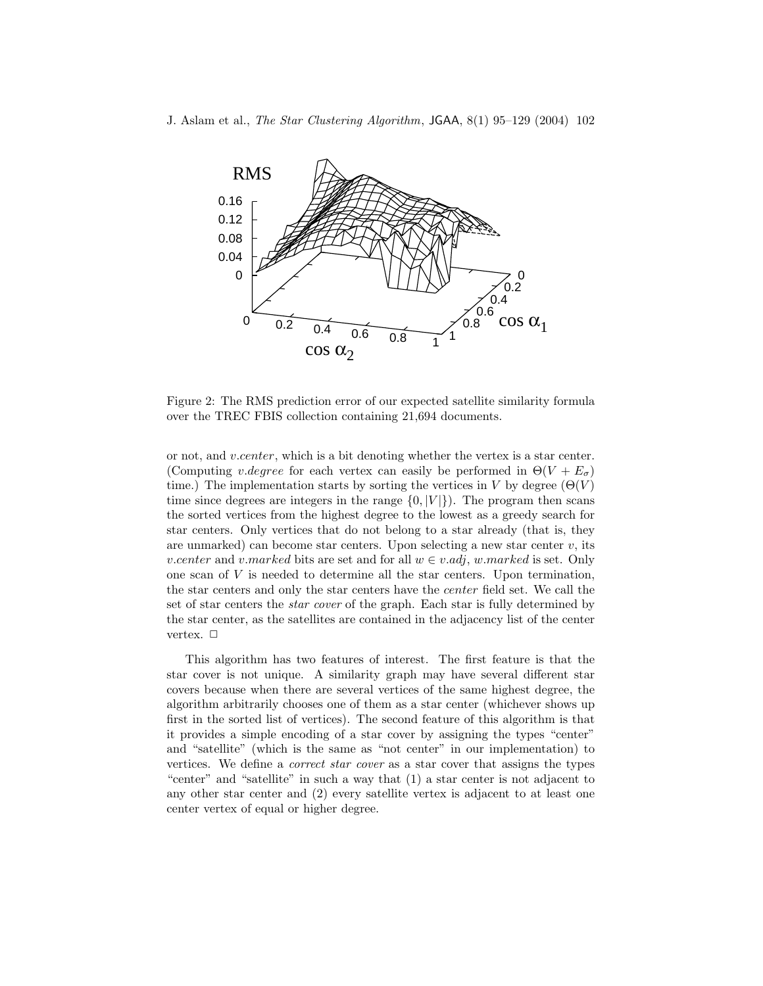

Figure 2: The RMS prediction error of our expected satellite similarity formula over the TREC FBIS collection containing 21,694 documents.

or not, and v.center, which is a bit denoting whether the vertex is a star center. (Computing v.degree for each vertex can easily be performed in  $\Theta(V + E_{\sigma})$ ) time.) The implementation starts by sorting the vertices in V by degree  $(\Theta(V))$ time since degrees are integers in the range  $\{0, |V|\}$ ). The program then scans the sorted vertices from the highest degree to the lowest as a greedy search for star centers. Only vertices that do not belong to a star already (that is, they are unmarked) can become star centers. Upon selecting a new star center  $v$ , its v.center and v.marked bits are set and for all  $w \in v$ .adj, w.marked is set. Only one scan of  $V$  is needed to determine all the star centers. Upon termination, the star centers and only the star centers have the center field set. We call the set of star centers the *star cover* of the graph. Each star is fully determined by the star center, as the satellites are contained in the adjacency list of the center vertex.  $\Box$ 

This algorithm has two features of interest. The first feature is that the star cover is not unique. A similarity graph may have several different star covers because when there are several vertices of the same highest degree, the algorithm arbitrarily chooses one of them as a star center (whichever shows up first in the sorted list of vertices). The second feature of this algorithm is that it provides a simple encoding of a star cover by assigning the types "center" and "satellite" (which is the same as "not center" in our implementation) to vertices. We define a *correct star cover* as a star cover that assigns the types "center" and "satellite" in such a way that (1) a star center is not adjacent to any other star center and (2) every satellite vertex is adjacent to at least one center vertex of equal or higher degree.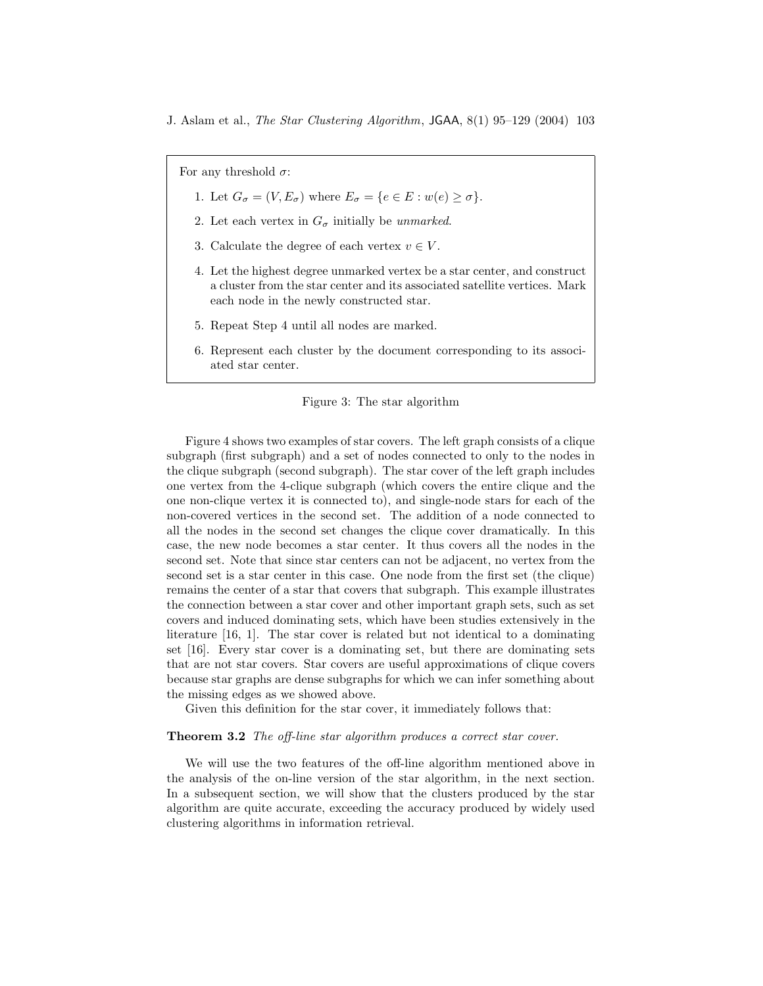For any threshold  $\sigma$ :

- 1. Let  $G_{\sigma} = (V, E_{\sigma})$  where  $E_{\sigma} = \{e \in E : w(e) \geq \sigma\}.$
- 2. Let each vertex in  $G_{\sigma}$  initially be *unmarked*.
- 3. Calculate the degree of each vertex  $v \in V$ .
- 4. Let the highest degree unmarked vertex be a star center, and construct a cluster from the star center and its associated satellite vertices. Mark each node in the newly constructed star.
- 5. Repeat Step 4 until all nodes are marked.
- 6. Represent each cluster by the document corresponding to its associated star center.

#### Figure 3: The star algorithm

Figure 4 shows two examples of star covers. The left graph consists of a clique subgraph (first subgraph) and a set of nodes connected to only to the nodes in the clique subgraph (second subgraph). The star cover of the left graph includes one vertex from the 4-clique subgraph (which covers the entire clique and the one non-clique vertex it is connected to), and single-node stars for each of the non-covered vertices in the second set. The addition of a node connected to all the nodes in the second set changes the clique cover dramatically. In this case, the new node becomes a star center. It thus covers all the nodes in the second set. Note that since star centers can not be adjacent, no vertex from the second set is a star center in this case. One node from the first set (the clique) remains the center of a star that covers that subgraph. This example illustrates the connection between a star cover and other important graph sets, such as set covers and induced dominating sets, which have been studies extensively in the literature [16, 1]. The star cover is related but not identical to a dominating set [16]. Every star cover is a dominating set, but there are dominating sets that are not star covers. Star covers are useful approximations of clique covers because star graphs are dense subgraphs for which we can infer something about the missing edges as we showed above.

Given this definition for the star cover, it immediately follows that:

#### **Theorem 3.2** *The off-line star algorithm produces a correct star cover.*

We will use the two features of the off-line algorithm mentioned above in the analysis of the on-line version of the star algorithm, in the next section. In a subsequent section, we will show that the clusters produced by the star algorithm are quite accurate, exceeding the accuracy produced by widely used clustering algorithms in information retrieval.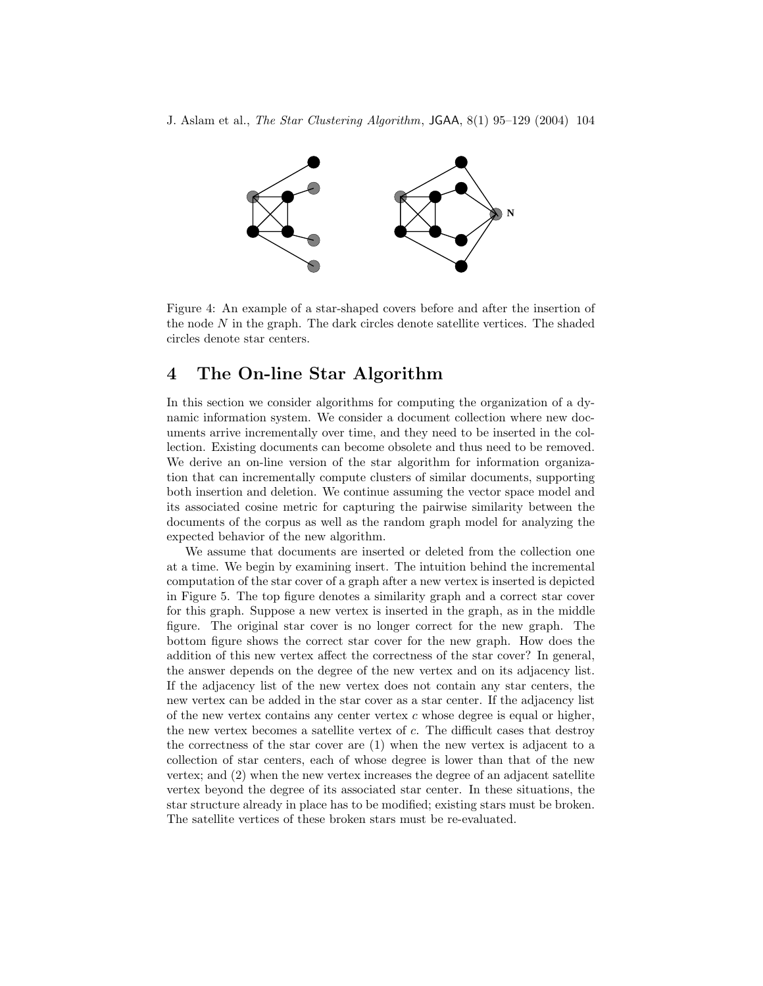

Figure 4: An example of a star-shaped covers before and after the insertion of the node N in the graph. The dark circles denote satellite vertices. The shaded circles denote star centers.

# **4 The On-line Star Algorithm**

In this section we consider algorithms for computing the organization of a dynamic information system. We consider a document collection where new documents arrive incrementally over time, and they need to be inserted in the collection. Existing documents can become obsolete and thus need to be removed. We derive an on-line version of the star algorithm for information organization that can incrementally compute clusters of similar documents, supporting both insertion and deletion. We continue assuming the vector space model and its associated cosine metric for capturing the pairwise similarity between the documents of the corpus as well as the random graph model for analyzing the expected behavior of the new algorithm.

We assume that documents are inserted or deleted from the collection one at a time. We begin by examining insert. The intuition behind the incremental computation of the star cover of a graph after a new vertex is inserted is depicted in Figure 5. The top figure denotes a similarity graph and a correct star cover for this graph. Suppose a new vertex is inserted in the graph, as in the middle figure. The original star cover is no longer correct for the new graph. The bottom figure shows the correct star cover for the new graph. How does the addition of this new vertex affect the correctness of the star cover? In general, the answer depends on the degree of the new vertex and on its adjacency list. If the adjacency list of the new vertex does not contain any star centers, the new vertex can be added in the star cover as a star center. If the adjacency list of the new vertex contains any center vertex  $c$  whose degree is equal or higher, the new vertex becomes a satellite vertex of c. The difficult cases that destroy the correctness of the star cover are (1) when the new vertex is adjacent to a collection of star centers, each of whose degree is lower than that of the new vertex; and (2) when the new vertex increases the degree of an adjacent satellite vertex beyond the degree of its associated star center. In these situations, the star structure already in place has to be modified; existing stars must be broken. The satellite vertices of these broken stars must be re-evaluated.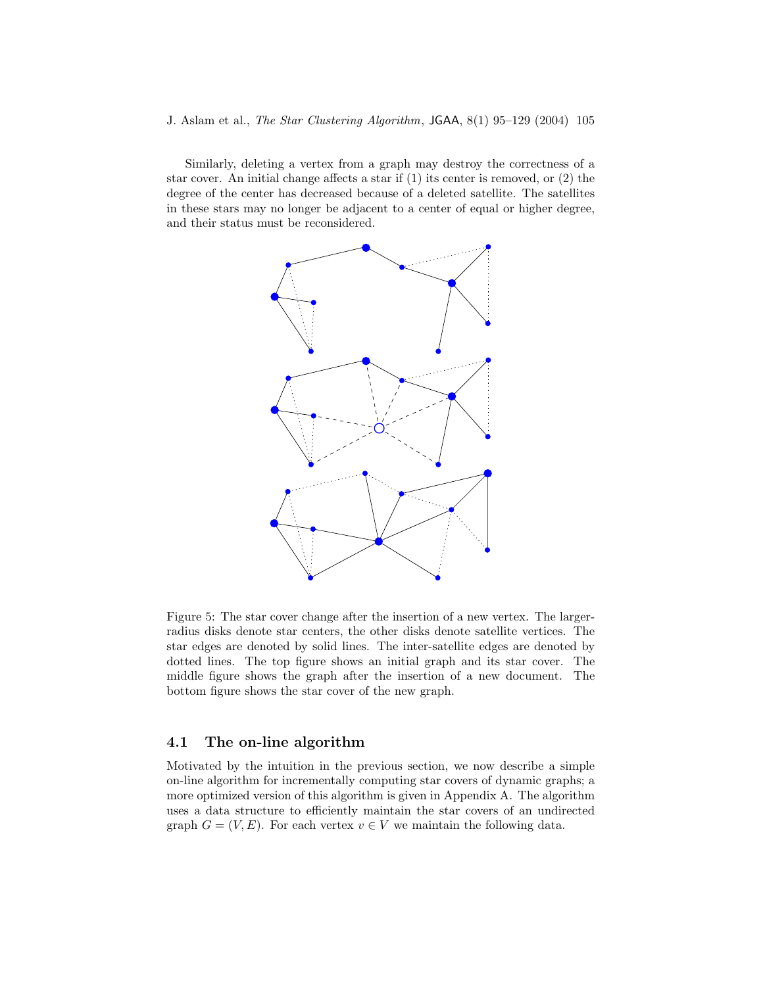#### J. Aslam et al., *The Star Clustering Algorithm*, JGAA, 8(1) 95–129 (2004) 105

Similarly, deleting a vertex from a graph may destroy the correctness of a star cover. An initial change affects a star if (1) its center is removed, or (2) the degree of the center has decreased because of a deleted satellite. The satellites in these stars may no longer be adjacent to a center of equal or higher degree, and their status must be reconsidered.



Figure 5: The star cover change after the insertion of a new vertex. The largerradius disks denote star centers, the other disks denote satellite vertices. The star edges are denoted by solid lines. The inter-satellite edges are denoted by dotted lines. The top figure shows an initial graph and its star cover. The middle figure shows the graph after the insertion of a new document. The bottom figure shows the star cover of the new graph.

### **4.1 The on-line algorithm**

Motivated by the intuition in the previous section, we now describe a simple on-line algorithm for incrementally computing star covers of dynamic graphs; a more optimized version of this algorithm is given in Appendix A. The algorithm uses a data structure to efficiently maintain the star covers of an undirected graph  $G = (V, E)$ . For each vertex  $v \in V$  we maintain the following data.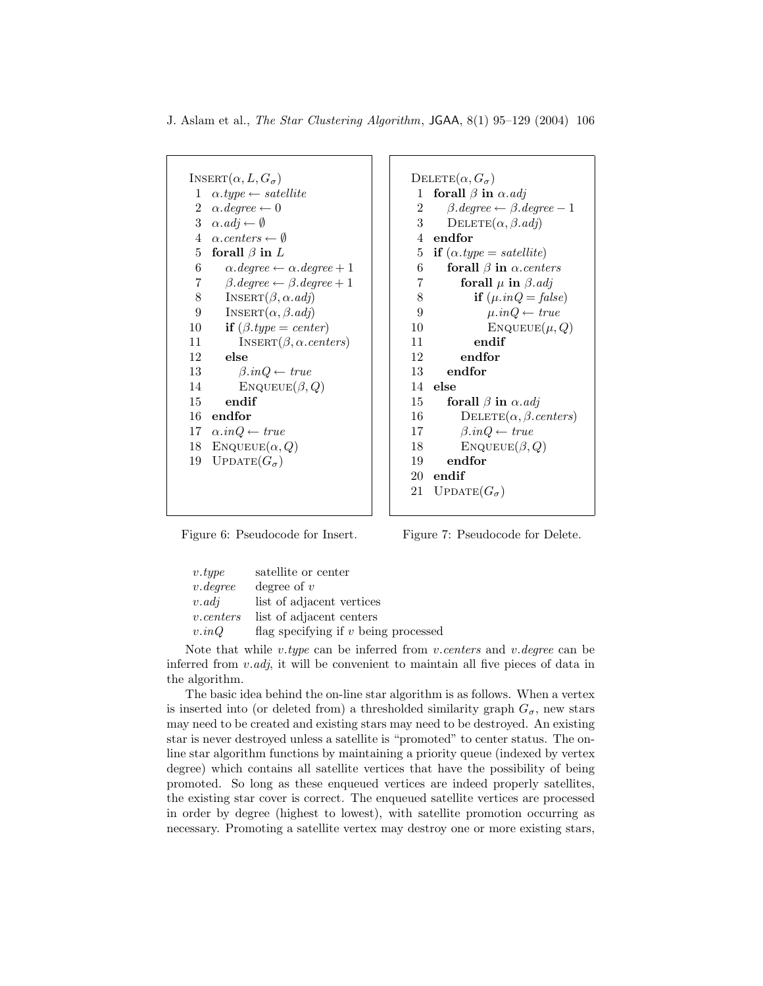J. Aslam et al., *The Star Clustering Algorithm*, JGAA, 8(1) 95–129 (2004) 106

INSERT $(\alpha, L, G_{\sigma})$ 1  $\alpha$ *type*  $\leftarrow$  *satellite* 2  $\alpha$ *.degree*  $\leftarrow 0$ <br>3  $\alpha$ *.adj*  $\leftarrow \emptyset$  $3 \quad \alpha.add \rightarrow \emptyset$ <br>4  $\alpha-centers \rightarrow$ 4  $\alpha$ .centers  $\leftarrow \emptyset$ <br>5 **forall**  $\beta$  **in**  $L$ **forall**  $\beta$  **in**  $L$ 6  $\alpha$ .degree  $\leftarrow \alpha$ .degree + 1<br>7  $\beta$ .degree  $\leftarrow \beta$ .degree + 1 7  $\beta$ .degree  $\leftarrow \beta$ .degree + 1<br>8 **INSERT**( $\beta$ ,  $\alpha$ .adj)  $INSENT(\beta, \alpha.add)$ 9 INSERT $(\alpha, \beta, adj)$ 10 **if**  $(\beta \text{.type} = center)$ 11 INSERT $(\beta, \alpha \text{. centers})$ 12 **else** 13  $\beta \cdot inQ \leftarrow true$ <br>14 **ENQUEUE** $(\beta, \theta)$  $\text{ENQUEUE}(\beta,Q)$ 15 **endif** 16 **endfor** 17  $\alpha.inQ \leftarrow true$ <br>18  $\text{ENQUEUE}(\alpha, 0)$  $\text{ENQUEUE}(\alpha, Q)$ 19 UPDATE $(G_{\sigma})$ 

 $\text{DELETE}(\alpha, G_{\sigma})$ 1 **forall** β **in** α.*adj* 2  $\beta$ .degree ←  $\beta$ .degree – 1<br>3 DELETE( $\alpha$ ,  $\beta$ .adj)  $DELETE(\alpha, \beta, adj)$ 4 **endfor** 5 **if**  $(\alpha.\textit{type} = \textit{satellite})$ 6 **forall** β **in** α.*centers* 7 **forall**  $\mu$  **in**  $\beta$ .*adj* 8 **if**  $(\mu.inQ = false)$ 9  $\mu.inQ \leftarrow true$ <br>10 ENQUEUE( $\mu$ , 0  $\text{ENQUEUE}(\mu, Q)$ 11 **endif** 12 **endfor** 13 **endfor** 14 **else** 15 **forall** β **in** α.*adj* 16 DELETE $(\alpha, \beta \text{. centers})$ 17  $\beta.inQ \leftarrow true$ <br>18 **ENQUEUE** $(\beta, 0)$  $ENQUEUE(\beta,Q)$ 19 **endfor** 20 **endif** 21 UPDATE $(G_{\sigma})$ 

Figure 6: Pseudocode for Insert.

Figure 7: Pseudocode for Delete.

| $v.\mathit{type}$ | satellite or center                    |
|-------------------|----------------------------------------|
| $v.\ndegree$      | degree of $v$                          |
| v.add             | list of adjacent vertices              |
| v. centers        | list of adjacent centers               |
| v.inQ             | flag specifying if $v$ being processed |

Note that while v.*type* can be inferred from v.*centers* and v.*degree* can be inferred from v.*adj*, it will be convenient to maintain all five pieces of data in the algorithm.

The basic idea behind the on-line star algorithm is as follows. When a vertex is inserted into (or deleted from) a thresholded similarity graph  $G_{\sigma}$ , new stars may need to be created and existing stars may need to be destroyed. An existing star is never destroyed unless a satellite is "promoted" to center status. The online star algorithm functions by maintaining a priority queue (indexed by vertex degree) which contains all satellite vertices that have the possibility of being promoted. So long as these enqueued vertices are indeed properly satellites, the existing star cover is correct. The enqueued satellite vertices are processed in order by degree (highest to lowest), with satellite promotion occurring as necessary. Promoting a satellite vertex may destroy one or more existing stars,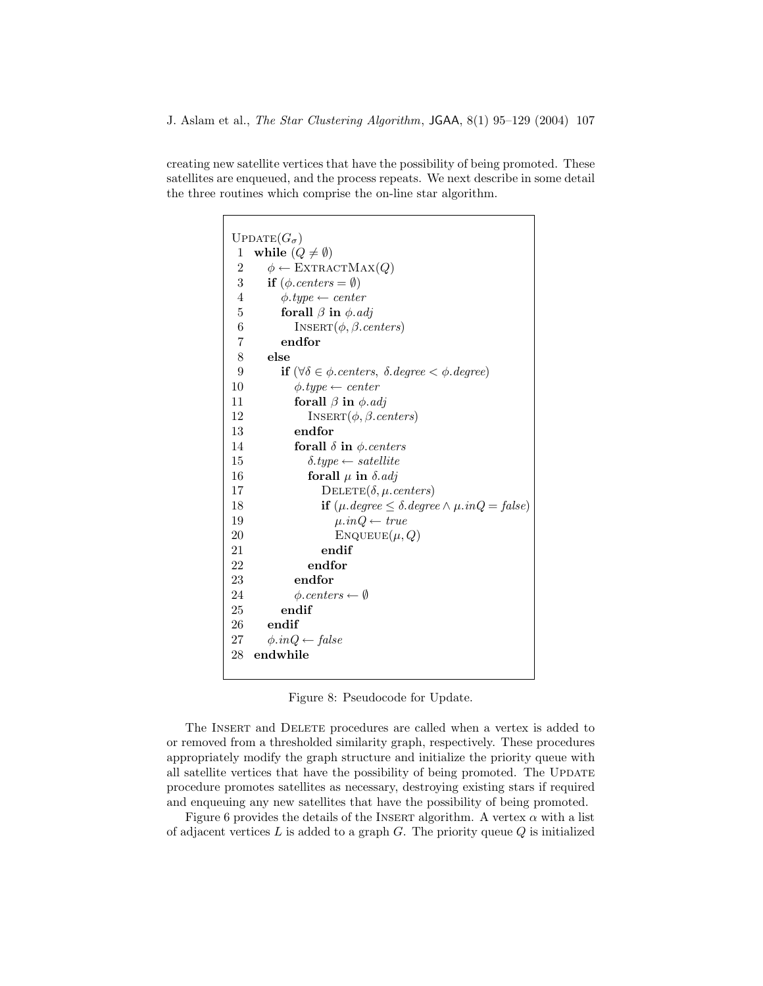creating new satellite vertices that have the possibility of being promoted. These satellites are enqueued, and the process repeats. We next describe in some detail the three routines which comprise the on-line star algorithm.

```
\mathrm{UPDATE}(G_{\sigma})1 while (Q \neq \emptyset)<br>2 \phi \leftarrow \text{EXTRA}2 \phi \leftarrow \text{EXTRACTMAX}(Q)<br>3 if (\phi \text{. centers} = \emptyset)3 if (\phi \text{. centers} = \emptyset)<br>4 \phi \text{. tune} \leftarrow centre4 \phi.\textit{type} \leftarrow \textit{center}<br>5 forall \beta in \phi.\textit{aa}5 forall β in φ.adj
 6 Insert(φ, β.centers)
 7 endfor
 8 else
9 if (\forall \delta \in \phi \text{. centers, } \delta \text{. degree} < \phi \text{. degree})<br>10 \phi \text{. type} \leftarrow center10 \phi.\text{type} \leftarrow \text{center}<br>11 forall \beta in \phi.\text{ad}forall β in φ.adj
12 Insert(φ, β.centers)
13 endfor
14 forall δ in φ.centers
15 \delta.\text{type} \leftarrow \text{satellite}<br>16 \text{for all } \mu \text{ in } \delta.\text{adj}forall \mu in \deltaadj
17 DELETE(\delta, \mu.centers)
18 if (\mu \text{.degree} \leq \delta \text{.degree} \land \mu \text{.} inQ = false)<br>19 \mu \text{.} inQ \leftarrow true19 \mu \cdot inQ \leftarrow true<br>
20 \text{ENQUEUE}(\mu, Q)\text{ENQUEUE}(\mu, Q)21 endif
22 endfor
23 endfor
24 \phi.\text{centers} \leftarrow \emptyset<br>25 endif
               25 endif
26 endif
27 \phi.inQ \leftarrow false<br>28 endwhile
      endwhile
```
Figure 8: Pseudocode for Update.

The INSERT and DELETE procedures are called when a vertex is added to or removed from a thresholded similarity graph, respectively. These procedures appropriately modify the graph structure and initialize the priority queue with all satellite vertices that have the possibility of being promoted. The UPDATE procedure promotes satellites as necessary, destroying existing stars if required and enqueuing any new satellites that have the possibility of being promoted.

Figure 6 provides the details of the INSERT algorithm. A vertex  $\alpha$  with a list of adjacent vertices  $L$  is added to a graph  $G$ . The priority queue  $Q$  is initialized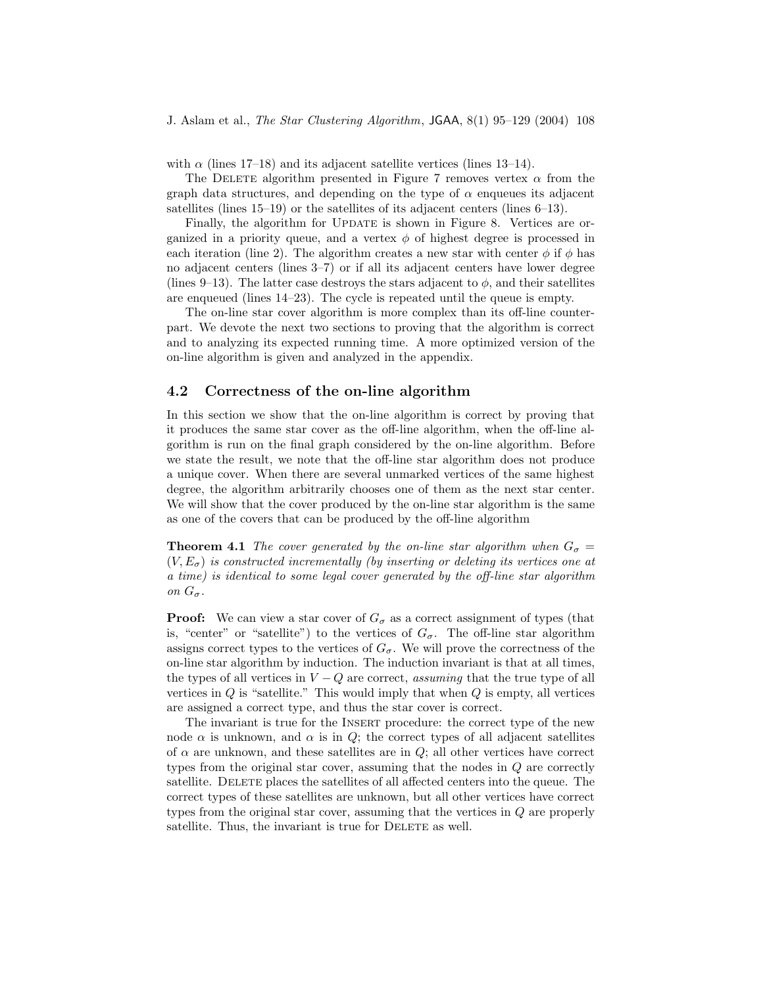with  $\alpha$  (lines 17–18) and its adjacent satellite vertices (lines 13–14).

The DELETE algorithm presented in Figure 7 removes vertex  $\alpha$  from the graph data structures, and depending on the type of  $\alpha$  enqueues its adjacent satellites (lines 15–19) or the satellites of its adjacent centers (lines 6–13).

Finally, the algorithm for UPDATE is shown in Figure 8. Vertices are organized in a priority queue, and a vertex  $\phi$  of highest degree is processed in each iteration (line 2). The algorithm creates a new star with center  $\phi$  if  $\phi$  has no adjacent centers (lines 3–7) or if all its adjacent centers have lower degree (lines 9–13). The latter case destroys the stars adjacent to  $\phi$ , and their satellites are enqueued (lines 14–23). The cycle is repeated until the queue is empty.

The on-line star cover algorithm is more complex than its off-line counterpart. We devote the next two sections to proving that the algorithm is correct and to analyzing its expected running time. A more optimized version of the on-line algorithm is given and analyzed in the appendix.

### **4.2 Correctness of the on-line algorithm**

In this section we show that the on-line algorithm is correct by proving that it produces the same star cover as the off-line algorithm, when the off-line algorithm is run on the final graph considered by the on-line algorithm. Before we state the result, we note that the off-line star algorithm does not produce a unique cover. When there are several unmarked vertices of the same highest degree, the algorithm arbitrarily chooses one of them as the next star center. We will show that the cover produced by the on-line star algorithm is the same as one of the covers that can be produced by the off-line algorithm

**Theorem 4.1** *The cover generated by the on-line star algorithm when*  $G_{\sigma}$  =  $(V, E_{\sigma})$  *is constructed incrementally (by inserting or deleting its vertices one at a time) is identical to some legal cover generated by the off-line star algorithm on*  $G_{\sigma}$ .

**Proof:** We can view a star cover of  $G_{\sigma}$  as a correct assignment of types (that is, "center" or "satellite") to the vertices of  $G_{\sigma}$ . The off-line star algorithm assigns correct types to the vertices of  $G_{\sigma}$ . We will prove the correctness of the on-line star algorithm by induction. The induction invariant is that at all times, the types of all vertices in V − Q are correct, *assuming* that the true type of all vertices in  $Q$  is "satellite." This would imply that when  $Q$  is empty, all vertices are assigned a correct type, and thus the star cover is correct.

The invariant is true for the Insert procedure: the correct type of the new node  $\alpha$  is unknown, and  $\alpha$  is in Q; the correct types of all adjacent satellites of  $\alpha$  are unknown, and these satellites are in  $Q$ ; all other vertices have correct types from the original star cover, assuming that the nodes in Q are correctly satellite. DELETE places the satellites of all affected centers into the queue. The correct types of these satellites are unknown, but all other vertices have correct types from the original star cover, assuming that the vertices in Q are properly satellite. Thus, the invariant is true for DELETE as well.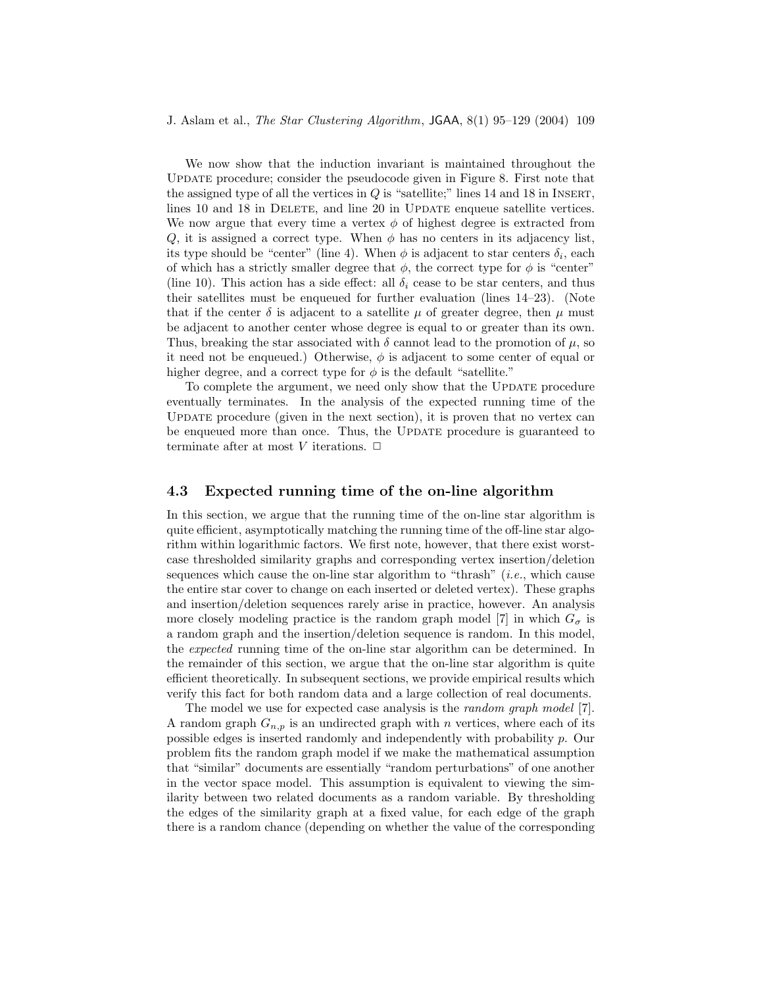#### J. Aslam et al., *The Star Clustering Algorithm*, JGAA, 8(1) 95–129 (2004) 109

We now show that the induction invariant is maintained throughout the Update procedure; consider the pseudocode given in Figure 8. First note that the assigned type of all the vertices in  $Q$  is "satellite;" lines 14 and 18 in INSERT, lines 10 and 18 in DELETE, and line 20 in UPDATE enqueue satellite vertices. We now argue that every time a vertex  $\phi$  of highest degree is extracted from Q, it is assigned a correct type. When  $\phi$  has no centers in its adjacency list, its type should be "center" (line 4). When  $\phi$  is adjacent to star centers  $\delta_i$ , each of which has a strictly smaller degree that  $\phi$ , the correct type for  $\phi$  is "center" (line 10). This action has a side effect: all  $\delta_i$  cease to be star centers, and thus their satellites must be enqueued for further evaluation (lines 14–23). (Note that if the center  $\delta$  is adjacent to a satellite  $\mu$  of greater degree, then  $\mu$  must be adjacent to another center whose degree is equal to or greater than its own. Thus, breaking the star associated with  $\delta$  cannot lead to the promotion of  $\mu$ , so it need not be enqueued.) Otherwise,  $\phi$  is adjacent to some center of equal or higher degree, and a correct type for  $\phi$  is the default "satellite."

To complete the argument, we need only show that the UPDATE procedure eventually terminates. In the analysis of the expected running time of the Update procedure (given in the next section), it is proven that no vertex can be enqueued more than once. Thus, the UPDATE procedure is guaranteed to terminate after at most V iterations.  $\Box$ 

### **4.3 Expected running time of the on-line algorithm**

In this section, we argue that the running time of the on-line star algorithm is quite efficient, asymptotically matching the running time of the off-line star algorithm within logarithmic factors. We first note, however, that there exist worstcase thresholded similarity graphs and corresponding vertex insertion/deletion sequences which cause the on-line star algorithm to "thrash" (*i.e.*, which cause the entire star cover to change on each inserted or deleted vertex). These graphs and insertion/deletion sequences rarely arise in practice, however. An analysis more closely modeling practice is the random graph model [7] in which  $G_{\sigma}$  is a random graph and the insertion/deletion sequence is random. In this model, the *expected* running time of the on-line star algorithm can be determined. In the remainder of this section, we argue that the on-line star algorithm is quite efficient theoretically. In subsequent sections, we provide empirical results which verify this fact for both random data and a large collection of real documents.

The model we use for expected case analysis is the *random graph model* [7]. A random graph  $G_{n,p}$  is an undirected graph with n vertices, where each of its possible edges is inserted randomly and independently with probability p. Our problem fits the random graph model if we make the mathematical assumption that "similar" documents are essentially "random perturbations" of one another in the vector space model. This assumption is equivalent to viewing the similarity between two related documents as a random variable. By thresholding the edges of the similarity graph at a fixed value, for each edge of the graph there is a random chance (depending on whether the value of the corresponding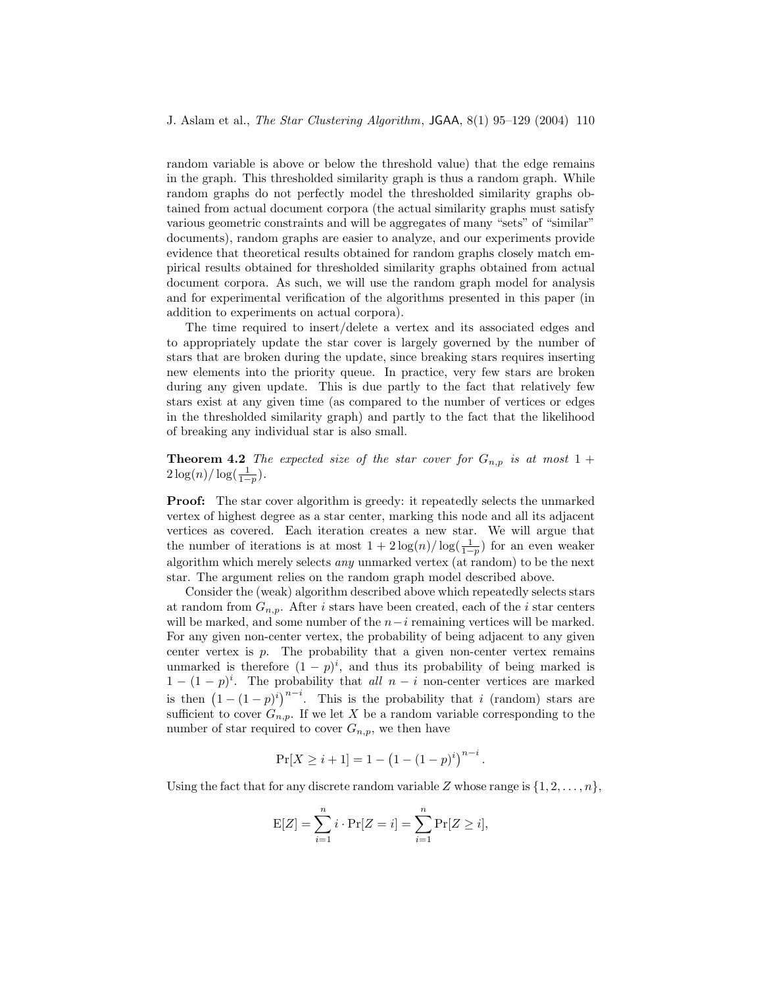random variable is above or below the threshold value) that the edge remains in the graph. This thresholded similarity graph is thus a random graph. While random graphs do not perfectly model the thresholded similarity graphs obtained from actual document corpora (the actual similarity graphs must satisfy various geometric constraints and will be aggregates of many "sets" of "similar" documents), random graphs are easier to analyze, and our experiments provide evidence that theoretical results obtained for random graphs closely match empirical results obtained for thresholded similarity graphs obtained from actual document corpora. As such, we will use the random graph model for analysis and for experimental verification of the algorithms presented in this paper (in addition to experiments on actual corpora).

The time required to insert/delete a vertex and its associated edges and to appropriately update the star cover is largely governed by the number of stars that are broken during the update, since breaking stars requires inserting new elements into the priority queue. In practice, very few stars are broken during any given update. This is due partly to the fact that relatively few stars exist at any given time (as compared to the number of vertices or edges in the thresholded similarity graph) and partly to the fact that the likelihood of breaking any individual star is also small.

**Theorem 4.2** *The expected size of the star cover for*  $G_{n,p}$  *is at most* 1 +  $2\log(n)/\log(\frac{1}{1-p})$ .

**Proof:** The star cover algorithm is greedy: it repeatedly selects the unmarked vertex of highest degree as a star center, marking this node and all its adjacent vertices as covered. Each iteration creates a new star. We will argue that the number of iterations is at most  $1 + 2\log(n)/\log(\frac{1}{1-p})$  for an even weaker algorithm which merely selects *any* unmarked vertex (at random) to be the next star. The argument relies on the random graph model described above.

Consider the (weak) algorithm described above which repeatedly selects stars at random from  $G_{n,p}$ . After *i* stars have been created, each of the *i* star centers will be marked, and some number of the  $n-i$  remaining vertices will be marked. For any given non-center vertex, the probability of being adjacent to any given center vertex is  $p$ . The probability that a given non-center vertex remains unmarked is therefore  $(1 - p)^i$ , and thus its probability of being marked is  $1 - (1 - p)^i$ . The probability that *all*  $n - i$  non-center vertices are marked is then  $(1 - (1 - p)^i)^{n-i}$ . This is the probability that i (random) stars are sufficient to cover  $G_{n,p}$ . If we let X be a random variable corresponding to the number of star required to cover  $G_{n,p}$ , we then have

$$
\Pr[X \ge i + 1] = 1 - (1 - (1 - p)^{i})^{n - i}.
$$

Using the fact that for any discrete random variable Z whose range is  $\{1, 2, \ldots, n\}$ ,

$$
E[Z] = \sum_{i=1}^{n} i \cdot Pr[Z = i] = \sum_{i=1}^{n} Pr[Z \ge i],
$$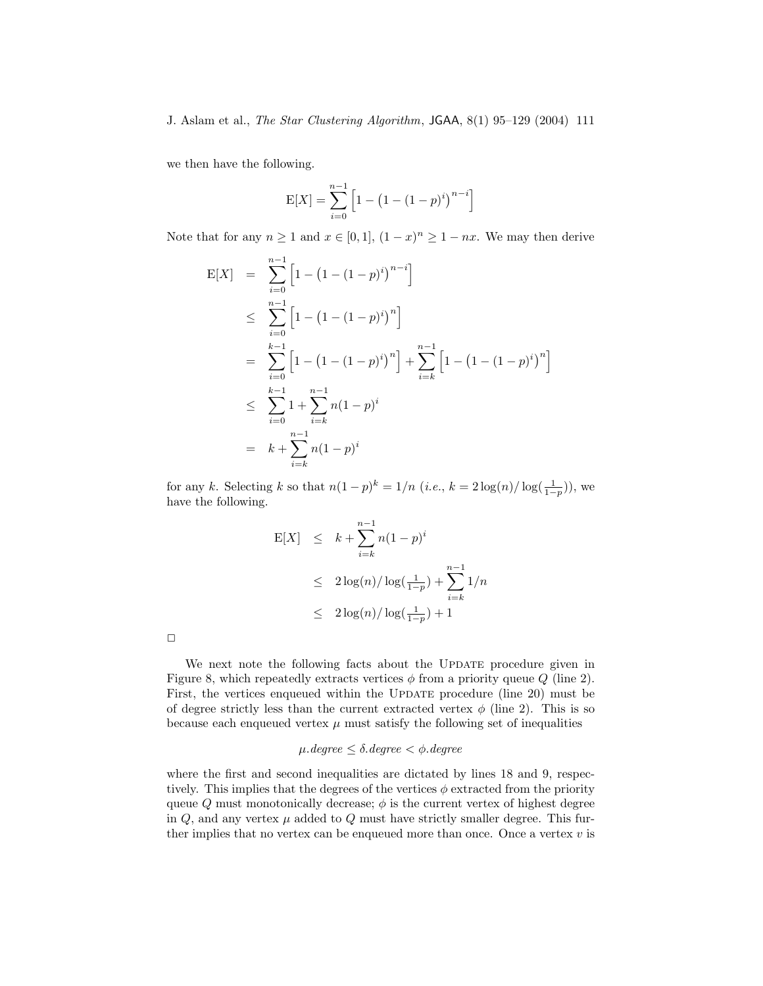### J. Aslam et al., *The Star Clustering Algorithm*, JGAA, 8(1) 95–129 (2004) 111

we then have the following.

$$
E[X] = \sum_{i=0}^{n-1} \left[ 1 - \left( 1 - (1 - p)^i \right)^{n-i} \right]
$$

Note that for any  $n \ge 1$  and  $x \in [0,1]$ ,  $(1-x)^n \ge 1 - nx$ . We may then derive

$$
E[X] = \sum_{i=0}^{n-1} \left[ 1 - (1 - (1 - p)^i)^{n-i} \right]
$$
  
\n
$$
\leq \sum_{i=0}^{n-1} \left[ 1 - (1 - (1 - p)^i)^n \right]
$$
  
\n
$$
= \sum_{i=0}^{k-1} \left[ 1 - (1 - (1 - p)^i)^n \right] + \sum_{i=k}^{n-1} \left[ 1 - (1 - (1 - p)^i)^n \right]
$$
  
\n
$$
\leq \sum_{i=0}^{k-1} 1 + \sum_{i=k}^{n-1} n(1-p)^i
$$
  
\n
$$
= k + \sum_{i=k}^{n-1} n(1-p)^i
$$

for any k. Selecting k so that  $n(1-p)^k = 1/n$   $(i.e., k = 2 \log(n) / \log(\frac{1}{1-p}))$ , we have the following.

$$
E[X] \leq k + \sum_{i=k}^{n-1} n(1-p)^i
$$
  
\n
$$
\leq 2 \log(n) / \log(\frac{1}{1-p}) + \sum_{i=k}^{n-1} 1/n
$$
  
\n
$$
\leq 2 \log(n) / \log(\frac{1}{1-p}) + 1
$$

We next note the following facts about the UPDATE procedure given in Figure 8, which repeatedly extracts vertices  $\phi$  from a priority queue Q (line 2). First, the vertices enqueued within the UPDATE procedure (line 20) must be of degree strictly less than the current extracted vertex  $\phi$  (line 2). This is so because each enqueued vertex  $\mu$  must satisfy the following set of inequalities

#### µ.*degree* ≤ δ.*degree* < φ.*degree*

where the first and second inequalities are dictated by lines 18 and 9, respectively. This implies that the degrees of the vertices  $\phi$  extracted from the priority queue Q must monotonically decrease;  $\phi$  is the current vertex of highest degree in  $Q$ , and any vertex  $\mu$  added to  $Q$  must have strictly smaller degree. This further implies that no vertex can be enqueued more than once. Once a vertex  $v$  is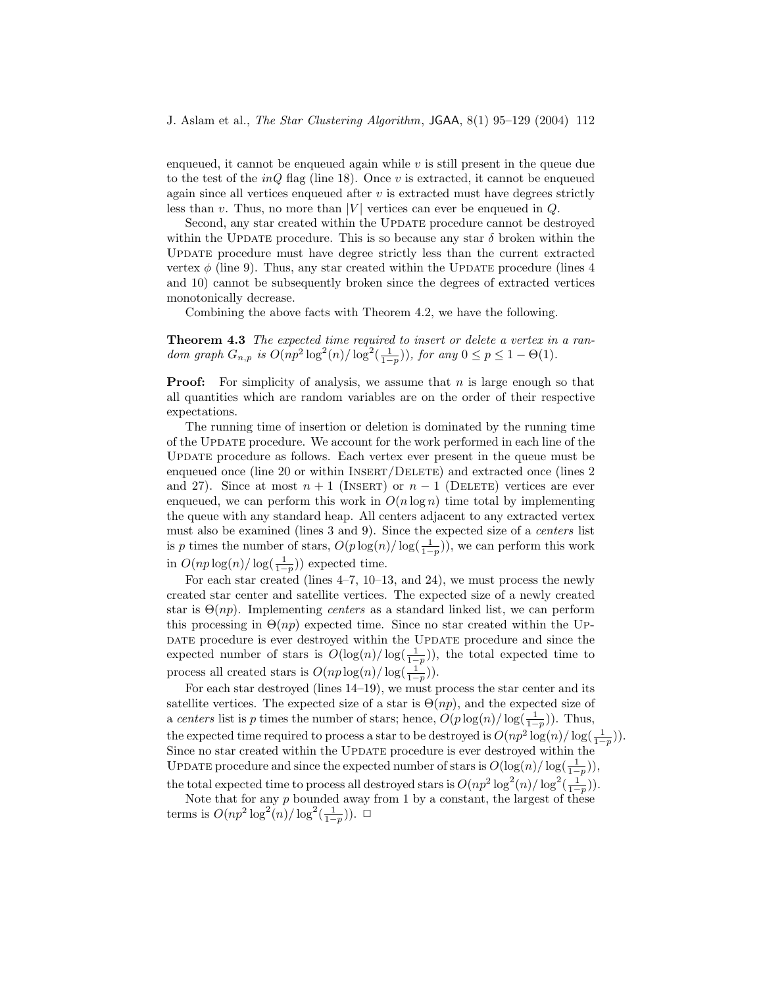enqueued, it cannot be enqueued again while  $v$  is still present in the queue due to the test of the *inQ* flag (line 18). Once v is extracted, it cannot be enqueued again since all vertices enqueued after  $v$  is extracted must have degrees strictly less than v. Thus, no more than |V| vertices can ever be enqueued in  $Q$ .

Second, any star created within the UPDATE procedure cannot be destroyed within the UPDATE procedure. This is so because any star  $\delta$  broken within the Update procedure must have degree strictly less than the current extracted vertex  $\phi$  (line 9). Thus, any star created within the UPDATE procedure (lines 4) and 10) cannot be subsequently broken since the degrees of extracted vertices monotonically decrease.

Combining the above facts with Theorem 4.2, we have the following.

**Theorem 4.3** *The expected time required to insert or delete a vertex in a random graph*  $G_{n,p}$  *is*  $O(np^2 \log^2(n) / \log^2(\frac{1}{1-p}))$ *, for any*  $0 \le p \le 1 - \Theta(1)$ *.* 

**Proof:** For simplicity of analysis, we assume that n is large enough so that all quantities which are random variables are on the order of their respective expectations.

The running time of insertion or deletion is dominated by the running time of the UPDATE procedure. We account for the work performed in each line of the Update procedure as follows. Each vertex ever present in the queue must be enqueued once (line 20 or within INSERT/DELETE) and extracted once (lines 2 and 27). Since at most  $n + 1$  (INSERT) or  $n - 1$  (DELETE) vertices are ever enqueued, we can perform this work in  $O(n \log n)$  time total by implementing the queue with any standard heap. All centers adjacent to any extracted vertex must also be examined (lines 3 and 9). Since the expected size of a *centers* list is p times the number of stars,  $O(p \log(n) / \log(\frac{1}{1-p}))$ , we can perform this work in  $O(np \log(n) / \log(\frac{1}{1-p}))$  expected time.

For each star created (lines 4–7, 10–13, and 24), we must process the newly created star center and satellite vertices. The expected size of a newly created star is  $\Theta(np)$ . Implementing *centers* as a standard linked list, we can perform this processing in  $\Theta(np)$  expected time. Since no star created within the UP-DATE procedure is ever destroyed within the UPDATE procedure and since the expected number of stars is  $O(\log(n)/\log(\frac{1}{1-p}))$ , the total expected time to process all created stars is  $O(np \log(n) / \log(\frac{1}{1-p}))$ .

For each star destroyed (lines 14–19), we must process the star center and its satellite vertices. The expected size of a star is  $\Theta(np)$ , and the expected size of a *centers* list is p times the number of stars; hence,  $O(p \log(n) / \log(\frac{1}{1-p}))$ . Thus, the expected time required to process a star to be destroyed is  $O(np^2 \log(n) / \log(\frac{1}{1-p}))$ . Since no star created within the UPDATE procedure is ever destroyed within the UPDATE procedure and since the expected number of stars is  $O(\log(n)/\log(\frac{1}{1-p}))$ ,

the total expected time to process all destroyed stars is  $O(np^2 \log^2(n) / \log^2(\frac{1}{1-p}))$ . Note that for any  $p$  bounded away from 1 by a constant, the largest of these terms is  $O(np^2 \log^2(n) / \log^2(\frac{1}{1-p}))$ .  $\Box$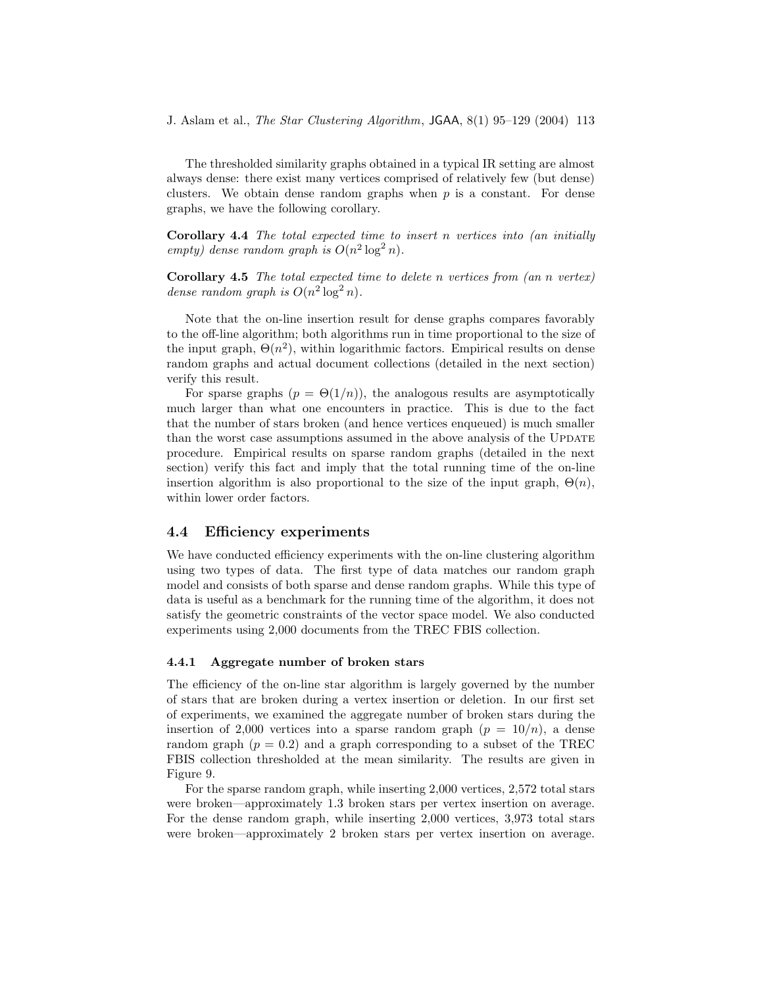The thresholded similarity graphs obtained in a typical IR setting are almost always dense: there exist many vertices comprised of relatively few (but dense) clusters. We obtain dense random graphs when  $p$  is a constant. For dense graphs, we have the following corollary.

**Corollary 4.4** *The total expected time to insert* n *vertices into (an initially empty)* dense random graph is  $O(n^2 \log^2 n)$ .

**Corollary 4.5** *The total expected time to delete* n *vertices from (an* n *vertex) dense random graph is*  $O(n^2 \log^2 n)$ *.* 

Note that the on-line insertion result for dense graphs compares favorably to the off-line algorithm; both algorithms run in time proportional to the size of the input graph,  $\Theta(n^2)$ , within logarithmic factors. Empirical results on dense random graphs and actual document collections (detailed in the next section) verify this result.

For sparse graphs  $(p = \Theta(1/n))$ , the analogous results are asymptotically much larger than what one encounters in practice. This is due to the fact that the number of stars broken (and hence vertices enqueued) is much smaller than the worst case assumptions assumed in the above analysis of the UPDATE procedure. Empirical results on sparse random graphs (detailed in the next section) verify this fact and imply that the total running time of the on-line insertion algorithm is also proportional to the size of the input graph,  $\Theta(n)$ , within lower order factors.

### **4.4 Efficiency experiments**

We have conducted efficiency experiments with the on-line clustering algorithm using two types of data. The first type of data matches our random graph model and consists of both sparse and dense random graphs. While this type of data is useful as a benchmark for the running time of the algorithm, it does not satisfy the geometric constraints of the vector space model. We also conducted experiments using 2,000 documents from the TREC FBIS collection.

#### **4.4.1 Aggregate number of broken stars**

The efficiency of the on-line star algorithm is largely governed by the number of stars that are broken during a vertex insertion or deletion. In our first set of experiments, we examined the aggregate number of broken stars during the insertion of 2,000 vertices into a sparse random graph  $(p = 10/n)$ , a dense random graph  $(p = 0.2)$  and a graph corresponding to a subset of the TREC FBIS collection thresholded at the mean similarity. The results are given in Figure 9.

For the sparse random graph, while inserting 2,000 vertices, 2,572 total stars were broken—approximately 1.3 broken stars per vertex insertion on average. For the dense random graph, while inserting 2,000 vertices, 3,973 total stars were broken—approximately 2 broken stars per vertex insertion on average.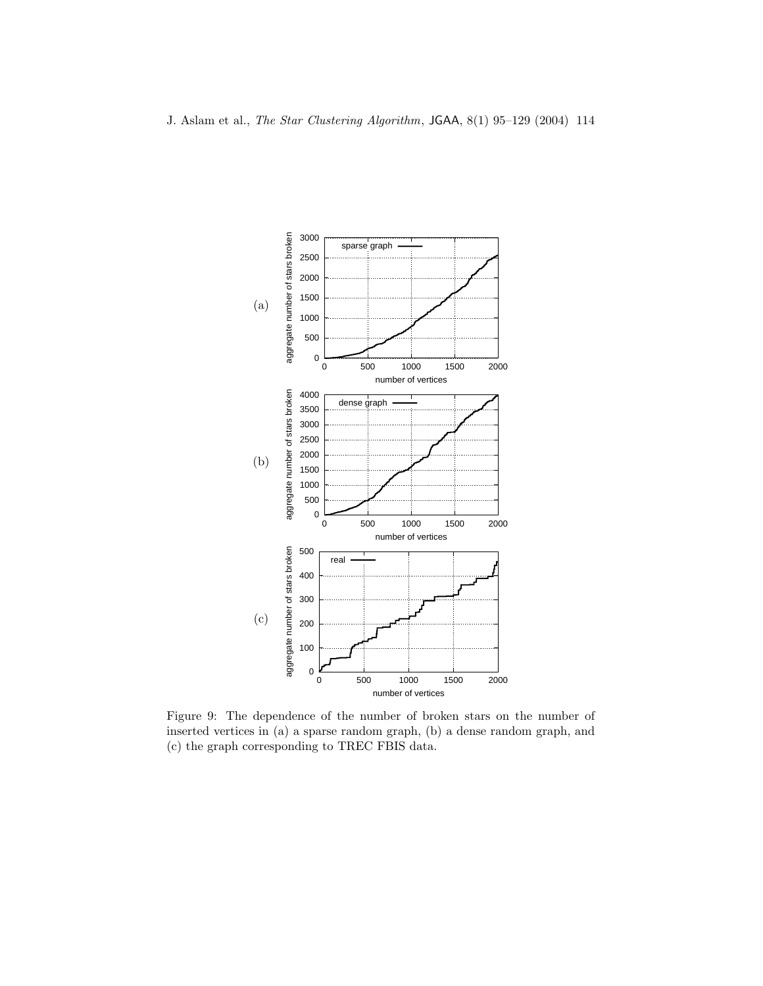

Figure 9: The dependence of the number of broken stars on the number of inserted vertices in (a) a sparse random graph, (b) a dense random graph, and (c) the graph corresponding to TREC FBIS data.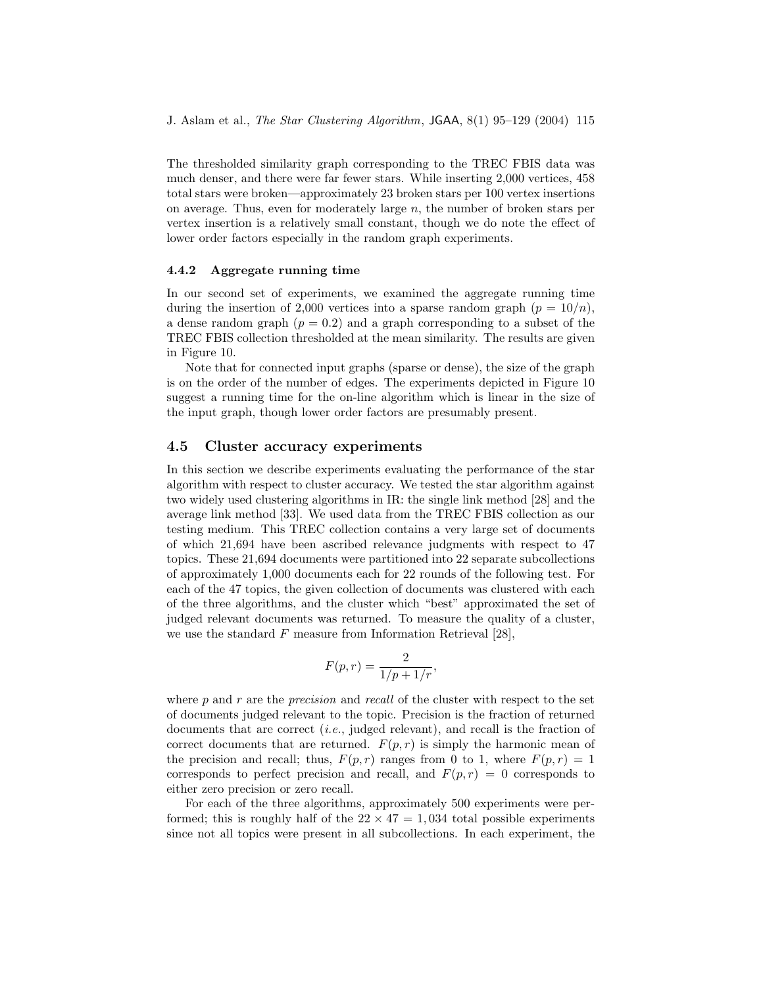The thresholded similarity graph corresponding to the TREC FBIS data was much denser, and there were far fewer stars. While inserting 2,000 vertices, 458 total stars were broken—approximately 23 broken stars per 100 vertex insertions on average. Thus, even for moderately large  $n$ , the number of broken stars per vertex insertion is a relatively small constant, though we do note the effect of lower order factors especially in the random graph experiments.

#### **4.4.2 Aggregate running time**

In our second set of experiments, we examined the aggregate running time during the insertion of 2,000 vertices into a sparse random graph  $(p = 10/n)$ , a dense random graph  $(p = 0.2)$  and a graph corresponding to a subset of the TREC FBIS collection thresholded at the mean similarity. The results are given in Figure 10.

Note that for connected input graphs (sparse or dense), the size of the graph is on the order of the number of edges. The experiments depicted in Figure 10 suggest a running time for the on-line algorithm which is linear in the size of the input graph, though lower order factors are presumably present.

#### **4.5 Cluster accuracy experiments**

In this section we describe experiments evaluating the performance of the star algorithm with respect to cluster accuracy. We tested the star algorithm against two widely used clustering algorithms in IR: the single link method [28] and the average link method [33]. We used data from the TREC FBIS collection as our testing medium. This TREC collection contains a very large set of documents of which 21,694 have been ascribed relevance judgments with respect to 47 topics. These 21,694 documents were partitioned into 22 separate subcollections of approximately 1,000 documents each for 22 rounds of the following test. For each of the 47 topics, the given collection of documents was clustered with each of the three algorithms, and the cluster which "best" approximated the set of judged relevant documents was returned. To measure the quality of a cluster, we use the standard  $F$  measure from Information Retrieval [28],

$$
F(p,r) = \frac{2}{1/p + 1/r},
$$

where p and r are the *precision* and *recall* of the cluster with respect to the set of documents judged relevant to the topic. Precision is the fraction of returned documents that are correct (*i.e.*, judged relevant), and recall is the fraction of correct documents that are returned.  $F(p, r)$  is simply the harmonic mean of the precision and recall; thus,  $F(p,r)$  ranges from 0 to 1, where  $F(p,r)=1$ corresponds to perfect precision and recall, and  $F(p, r) = 0$  corresponds to either zero precision or zero recall.

For each of the three algorithms, approximately 500 experiments were performed; this is roughly half of the  $22 \times 47 = 1,034$  total possible experiments since not all topics were present in all subcollections. In each experiment, the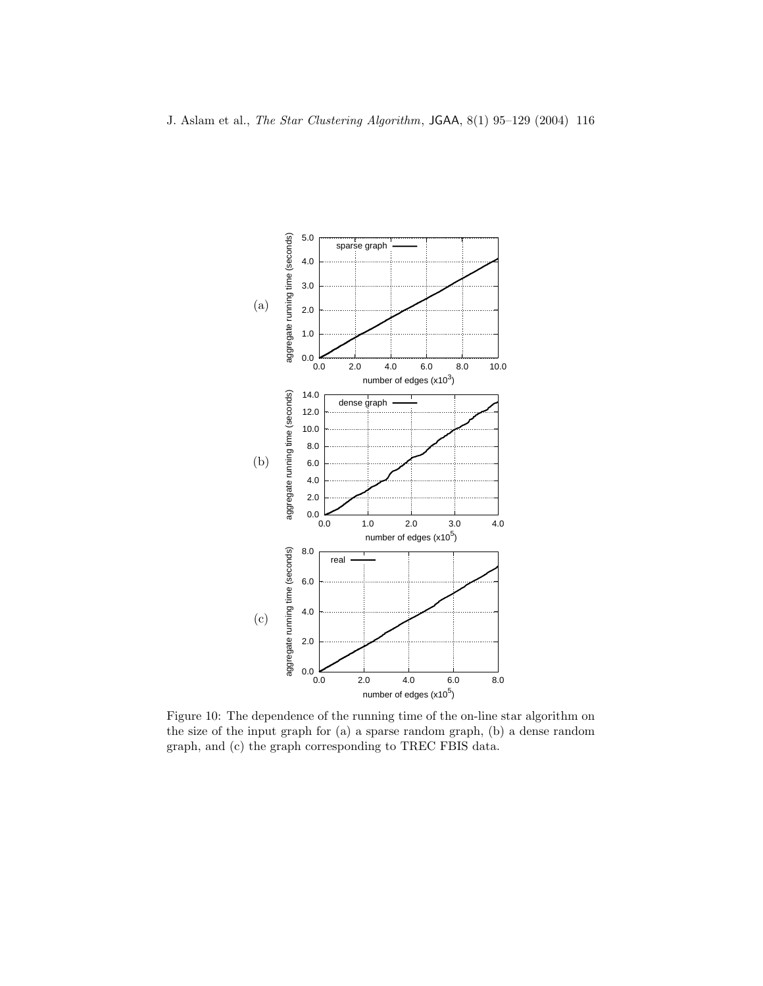

Figure 10: The dependence of the running time of the on-line star algorithm on the size of the input graph for (a) a sparse random graph, (b) a dense random graph, and (c) the graph corresponding to TREC FBIS data.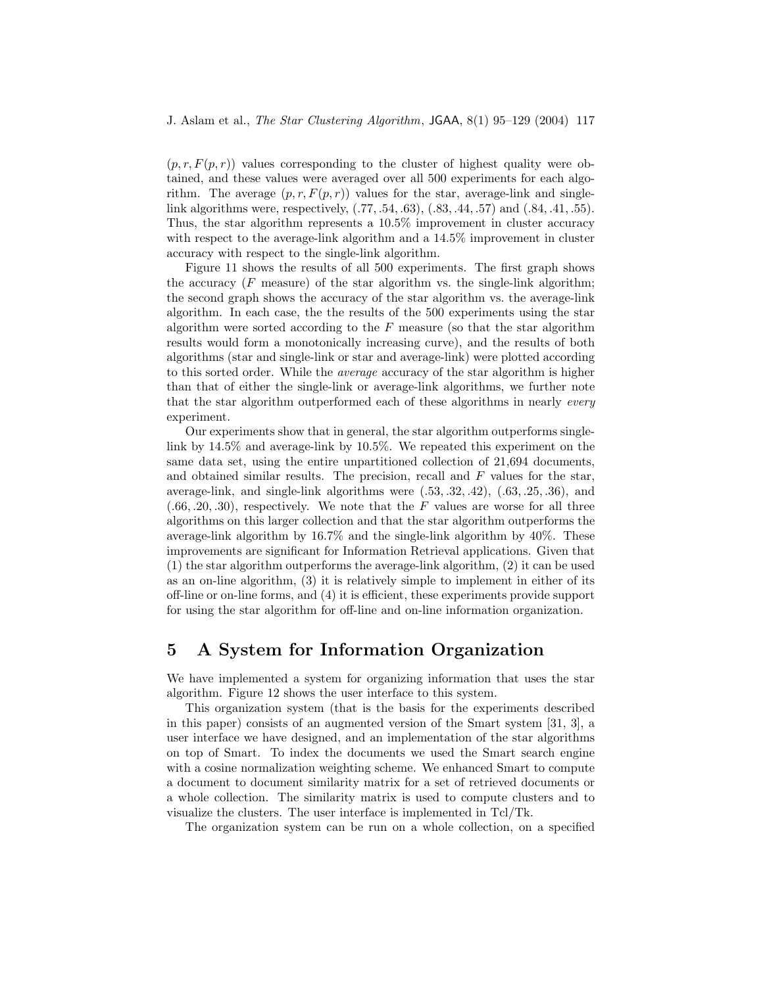$(p, r, F(p, r))$  values corresponding to the cluster of highest quality were obtained, and these values were averaged over all 500 experiments for each algorithm. The average  $(p, r, F(p, r))$  values for the star, average-link and singlelink algorithms were, respectively, (.77, .54, .63), (.83, .44, .57) and (.84, .41, .55). Thus, the star algorithm represents a 10.5% improvement in cluster accuracy with respect to the average-link algorithm and a 14.5% improvement in cluster accuracy with respect to the single-link algorithm.

Figure 11 shows the results of all 500 experiments. The first graph shows the accuracy  $(F$  measure) of the star algorithm vs. the single-link algorithm; the second graph shows the accuracy of the star algorithm vs. the average-link algorithm. In each case, the the results of the 500 experiments using the star algorithm were sorted according to the  $F$  measure (so that the star algorithm results would form a monotonically increasing curve), and the results of both algorithms (star and single-link or star and average-link) were plotted according to this sorted order. While the *average* accuracy of the star algorithm is higher than that of either the single-link or average-link algorithms, we further note that the star algorithm outperformed each of these algorithms in nearly *every* experiment.

Our experiments show that in general, the star algorithm outperforms singlelink by 14.5% and average-link by 10.5%. We repeated this experiment on the same data set, using the entire unpartitioned collection of 21,694 documents, and obtained similar results. The precision, recall and  $F$  values for the star, average-link, and single-link algorithms were (.53, .32, .42), (.63, .25, .36), and  $(.66, .20, .30)$ , respectively. We note that the F values are worse for all three algorithms on this larger collection and that the star algorithm outperforms the average-link algorithm by 16.7% and the single-link algorithm by 40%. These improvements are significant for Information Retrieval applications. Given that (1) the star algorithm outperforms the average-link algorithm, (2) it can be used as an on-line algorithm, (3) it is relatively simple to implement in either of its off-line or on-line forms, and (4) it is efficient, these experiments provide support for using the star algorithm for off-line and on-line information organization.

# **5 A System for Information Organization**

We have implemented a system for organizing information that uses the star algorithm. Figure 12 shows the user interface to this system.

This organization system (that is the basis for the experiments described in this paper) consists of an augmented version of the Smart system [31, 3], a user interface we have designed, and an implementation of the star algorithms on top of Smart. To index the documents we used the Smart search engine with a cosine normalization weighting scheme. We enhanced Smart to compute a document to document similarity matrix for a set of retrieved documents or a whole collection. The similarity matrix is used to compute clusters and to visualize the clusters. The user interface is implemented in Tcl/Tk.

The organization system can be run on a whole collection, on a specified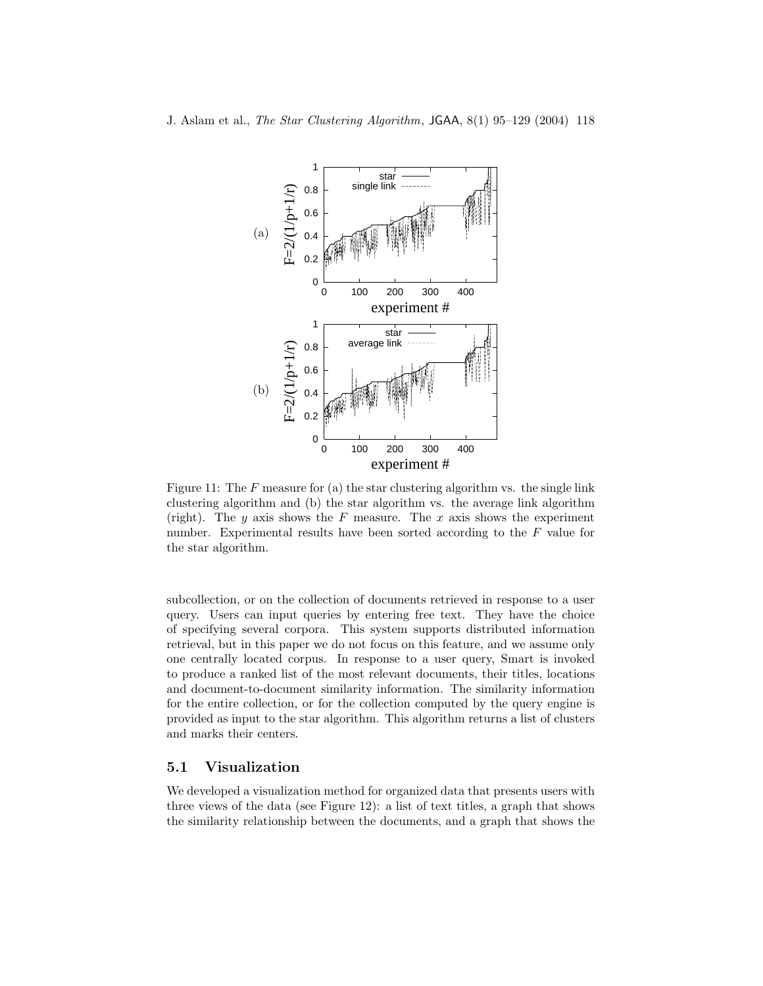

Figure 11: The  $F$  measure for (a) the star clustering algorithm vs. the single link clustering algorithm and (b) the star algorithm vs. the average link algorithm (right). The y axis shows the F measure. The x axis shows the experiment number. Experimental results have been sorted according to the F value for the star algorithm.

subcollection, or on the collection of documents retrieved in response to a user query. Users can input queries by entering free text. They have the choice of specifying several corpora. This system supports distributed information retrieval, but in this paper we do not focus on this feature, and we assume only one centrally located corpus. In response to a user query, Smart is invoked to produce a ranked list of the most relevant documents, their titles, locations and document-to-document similarity information. The similarity information for the entire collection, or for the collection computed by the query engine is provided as input to the star algorithm. This algorithm returns a list of clusters and marks their centers.

## **5.1 Visualization**

We developed a visualization method for organized data that presents users with three views of the data (see Figure 12): a list of text titles, a graph that shows the similarity relationship between the documents, and a graph that shows the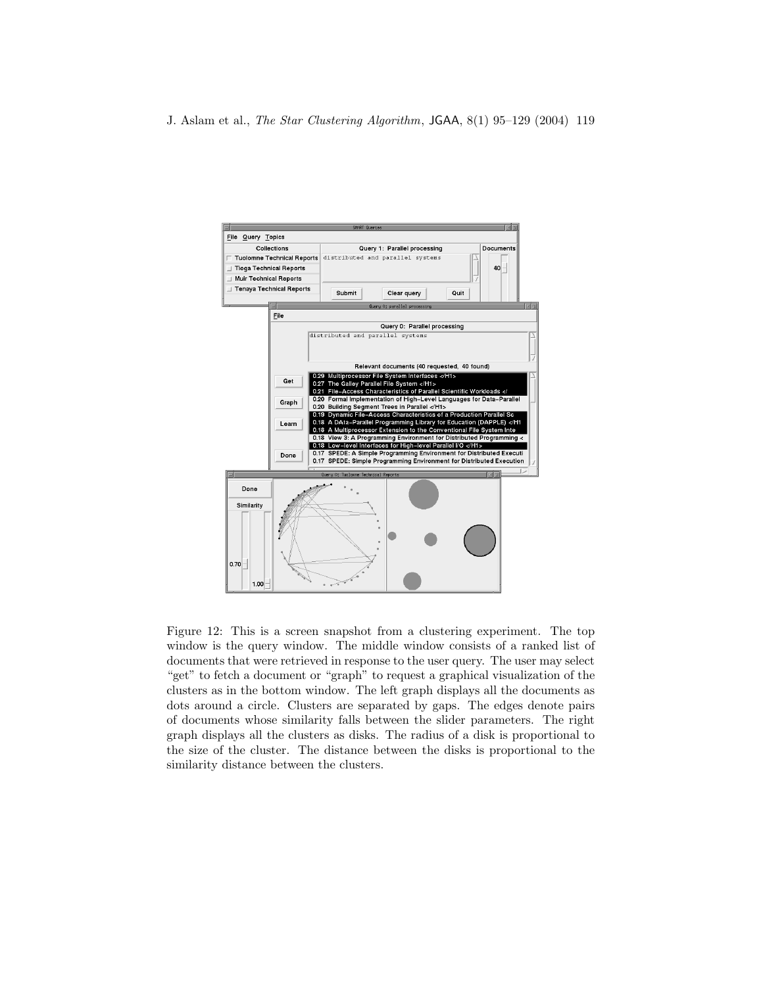

Figure 12: This is a screen snapshot from a clustering experiment. The top window is the query window. The middle window consists of a ranked list of documents that were retrieved in response to the user query. The user may select "get" to fetch a document or "graph" to request a graphical visualization of the clusters as in the bottom window. The left graph displays all the documents as dots around a circle. Clusters are separated by gaps. The edges denote pairs of documents whose similarity falls between the slider parameters. The right graph displays all the clusters as disks. The radius of a disk is proportional to the size of the cluster. The distance between the disks is proportional to the similarity distance between the clusters.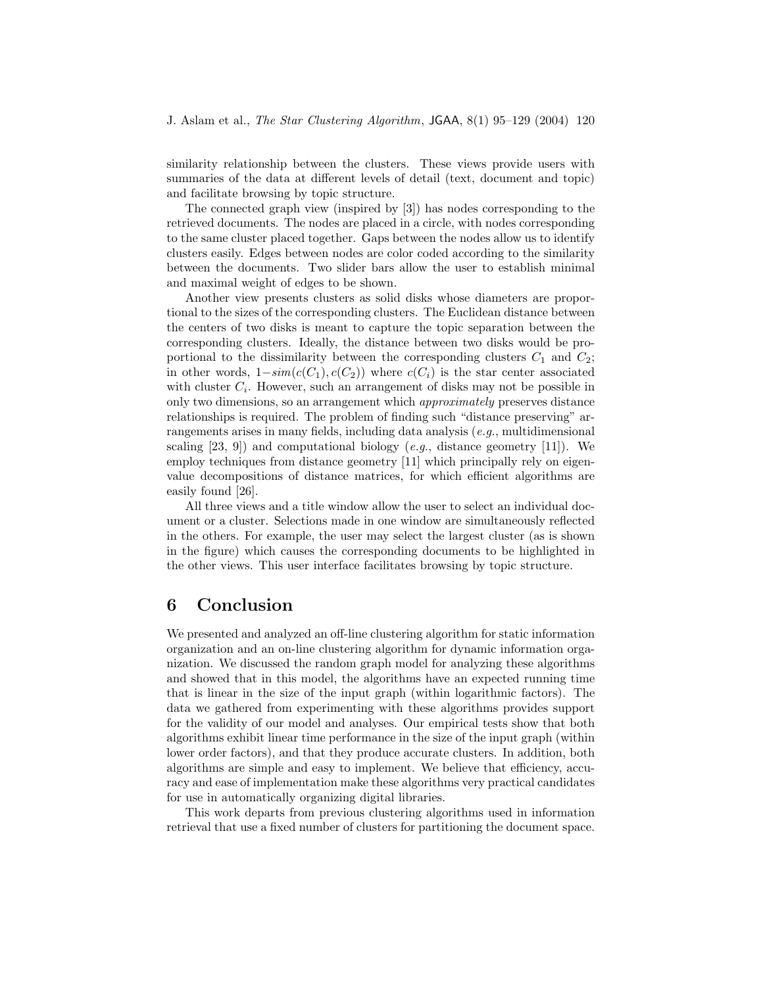similarity relationship between the clusters. These views provide users with summaries of the data at different levels of detail (text, document and topic) and facilitate browsing by topic structure.

The connected graph view (inspired by [3]) has nodes corresponding to the retrieved documents. The nodes are placed in a circle, with nodes corresponding to the same cluster placed together. Gaps between the nodes allow us to identify clusters easily. Edges between nodes are color coded according to the similarity between the documents. Two slider bars allow the user to establish minimal and maximal weight of edges to be shown.

Another view presents clusters as solid disks whose diameters are proportional to the sizes of the corresponding clusters. The Euclidean distance between the centers of two disks is meant to capture the topic separation between the corresponding clusters. Ideally, the distance between two disks would be proportional to the dissimilarity between the corresponding clusters  $C_1$  and  $C_2$ ; in other words,  $1-sim(c(C_1), c(C_2))$  where  $c(C_i)$  is the star center associated with cluster  $C_i$ . However, such an arrangement of disks may not be possible in only two dimensions, so an arrangement which *approximately* preserves distance relationships is required. The problem of finding such "distance preserving" arrangements arises in many fields, including data analysis (*e.g.*, multidimensional scaling  $[23, 9]$  and computational biology (*e.g.*, distance geometry  $[11]$ ). We employ techniques from distance geometry [11] which principally rely on eigenvalue decompositions of distance matrices, for which efficient algorithms are easily found [26].

All three views and a title window allow the user to select an individual document or a cluster. Selections made in one window are simultaneously reflected in the others. For example, the user may select the largest cluster (as is shown in the figure) which causes the corresponding documents to be highlighted in the other views. This user interface facilitates browsing by topic structure.

# **6 Conclusion**

We presented and analyzed an off-line clustering algorithm for static information organization and an on-line clustering algorithm for dynamic information organization. We discussed the random graph model for analyzing these algorithms and showed that in this model, the algorithms have an expected running time that is linear in the size of the input graph (within logarithmic factors). The data we gathered from experimenting with these algorithms provides support for the validity of our model and analyses. Our empirical tests show that both algorithms exhibit linear time performance in the size of the input graph (within lower order factors), and that they produce accurate clusters. In addition, both algorithms are simple and easy to implement. We believe that efficiency, accuracy and ease of implementation make these algorithms very practical candidates for use in automatically organizing digital libraries.

This work departs from previous clustering algorithms used in information retrieval that use a fixed number of clusters for partitioning the document space.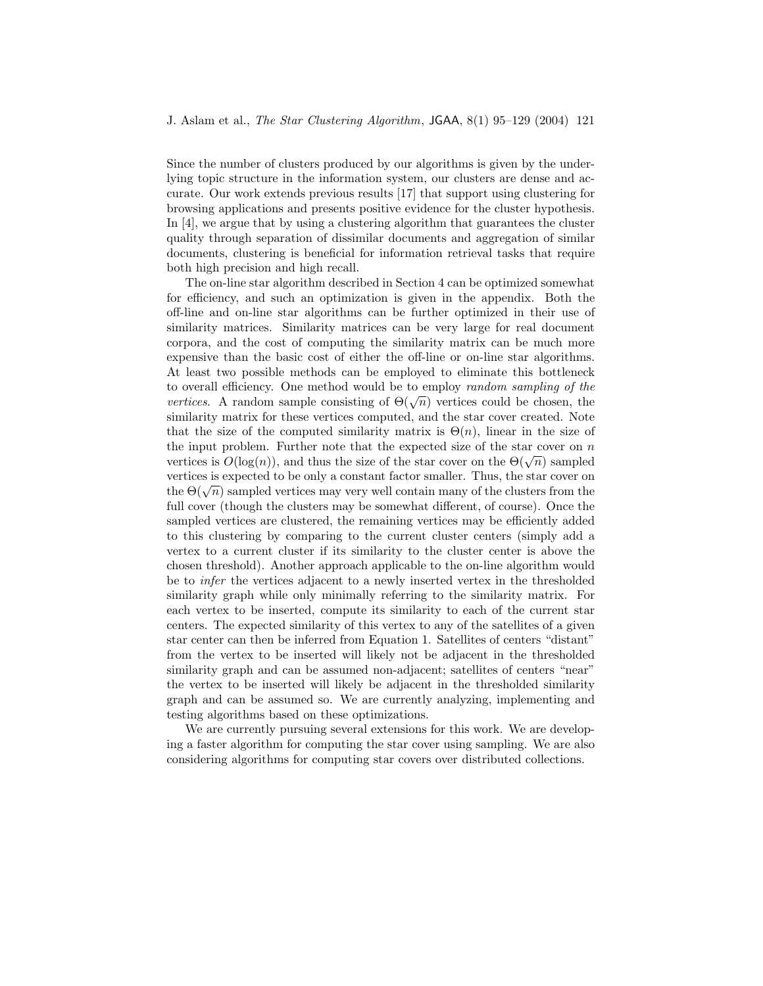Since the number of clusters produced by our algorithms is given by the underlying topic structure in the information system, our clusters are dense and accurate. Our work extends previous results [17] that support using clustering for browsing applications and presents positive evidence for the cluster hypothesis. In [4], we argue that by using a clustering algorithm that guarantees the cluster quality through separation of dissimilar documents and aggregation of similar documents, clustering is beneficial for information retrieval tasks that require both high precision and high recall.

The on-line star algorithm described in Section 4 can be optimized somewhat for efficiency, and such an optimization is given in the appendix. Both the off-line and on-line star algorithms can be further optimized in their use of similarity matrices. Similarity matrices can be very large for real document corpora, and the cost of computing the similarity matrix can be much more expensive than the basic cost of either the off-line or on-line star algorithms. At least two possible methods can be employed to eliminate this bottleneck to overall efficiency. One method would be to employ *random sampling of the vertices*. A random sample consisting of  $\Theta(\sqrt{n})$  vertices could be chosen, the similarity matrix for these vertices computed, and the star cover created. Note that the size of the computed similarity matrix is  $\Theta(n)$ , linear in the size of the input problem. Further note that the expected size of the star cover on  $n$ vertices is  $O(\log(n))$ , and thus the size of the star cover on the  $\Theta(\sqrt{n})$  sampled vertices is expected to be only a constant factor smaller. Thus, the star cover on the  $\Theta(\sqrt{n})$  sampled vertices may very well contain many of the clusters from the full cover (though the clusters may be somewhat different, of course). Once the sampled vertices are clustered, the remaining vertices may be efficiently added to this clustering by comparing to the current cluster centers (simply add a vertex to a current cluster if its similarity to the cluster center is above the chosen threshold). Another approach applicable to the on-line algorithm would be to *infer* the vertices adjacent to a newly inserted vertex in the thresholded similarity graph while only minimally referring to the similarity matrix. For each vertex to be inserted, compute its similarity to each of the current star centers. The expected similarity of this vertex to any of the satellites of a given star center can then be inferred from Equation 1. Satellites of centers "distant" from the vertex to be inserted will likely not be adjacent in the thresholded similarity graph and can be assumed non-adjacent; satellites of centers "near" the vertex to be inserted will likely be adjacent in the thresholded similarity graph and can be assumed so. We are currently analyzing, implementing and testing algorithms based on these optimizations.

We are currently pursuing several extensions for this work. We are developing a faster algorithm for computing the star cover using sampling. We are also considering algorithms for computing star covers over distributed collections.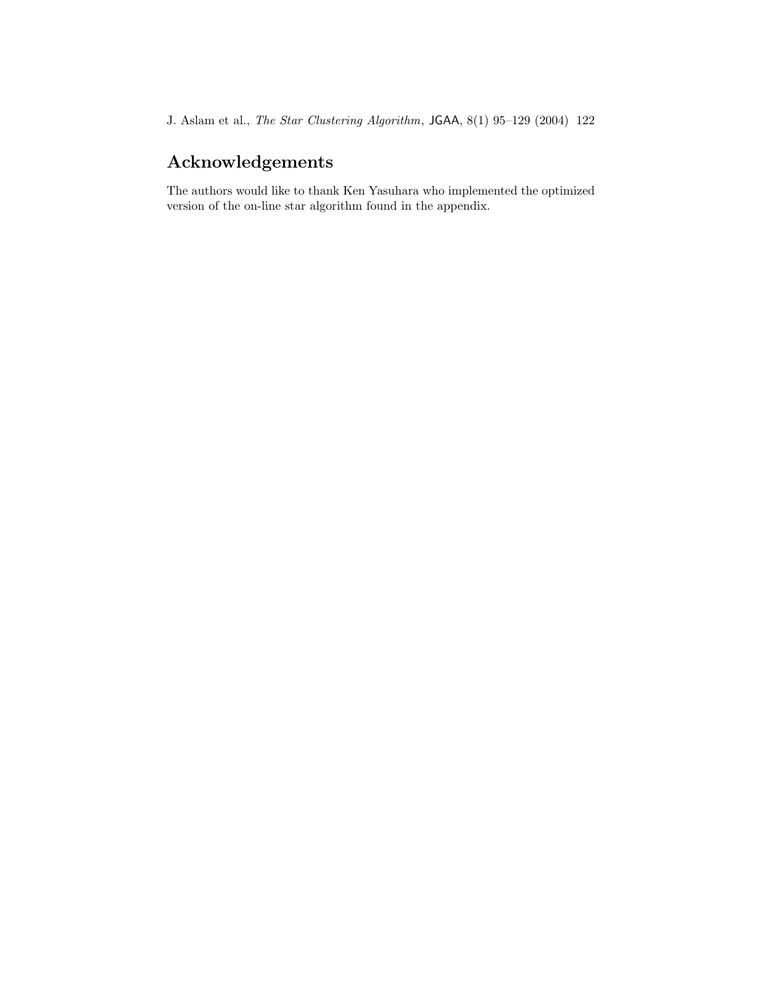# **Acknowledgements**

The authors would like to thank Ken Yasuhara who implemented the optimized version of the on-line star algorithm found in the appendix.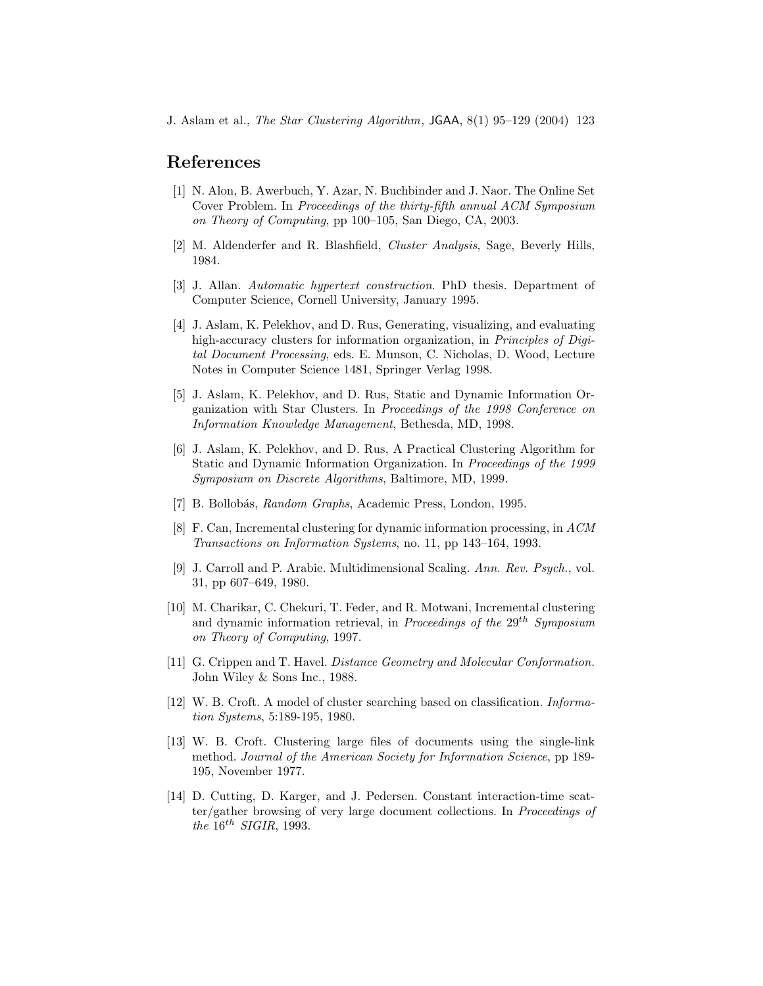# **References**

- [1] N. Alon, B. Awerbuch, Y. Azar, N. Buchbinder and J. Naor. The Online Set Cover Problem. In *Proceedings of the thirty-fifth annual ACM Symposium on Theory of Computing*, pp 100–105, San Diego, CA, 2003.
- [2] M. Aldenderfer and R. Blashfield, *Cluster Analysis*, Sage, Beverly Hills, 1984.
- [3] J. Allan. *Automatic hypertext construction*. PhD thesis. Department of Computer Science, Cornell University, January 1995.
- [4] J. Aslam, K. Pelekhov, and D. Rus, Generating, visualizing, and evaluating high-accuracy clusters for information organization, in *Principles of Digital Document Processing*, eds. E. Munson, C. Nicholas, D. Wood, Lecture Notes in Computer Science 1481, Springer Verlag 1998.
- [5] J. Aslam, K. Pelekhov, and D. Rus, Static and Dynamic Information Organization with Star Clusters. In *Proceedings of the 1998 Conference on Information Knowledge Management*, Bethesda, MD, 1998.
- [6] J. Aslam, K. Pelekhov, and D. Rus, A Practical Clustering Algorithm for Static and Dynamic Information Organization. In *Proceedings of the 1999 Symposium on Discrete Algorithms*, Baltimore, MD, 1999.
- [7] B. Bollob´as, *Random Graphs*, Academic Press, London, 1995.
- [8] F. Can, Incremental clustering for dynamic information processing, in *ACM Transactions on Information Systems*, no. 11, pp 143–164, 1993.
- [9] J. Carroll and P. Arabie. Multidimensional Scaling. *Ann. Rev. Psych.*, vol. 31, pp 607–649, 1980.
- [10] M. Charikar, C. Chekuri, T. Feder, and R. Motwani, Incremental clustering and dynamic information retrieval, in *Proceedings of the* 29<sup>th</sup> Symposium *on Theory of Computing*, 1997.
- [11] G. Crippen and T. Havel. *Distance Geometry and Molecular Conformation.* John Wiley & Sons Inc., 1988.
- [12] W. B. Croft. A model of cluster searching based on classification. *Information Systems*, 5:189-195, 1980.
- [13] W. B. Croft. Clustering large files of documents using the single-link method. *Journal of the American Society for Information Science*, pp 189- 195, November 1977.
- [14] D. Cutting, D. Karger, and J. Pedersen. Constant interaction-time scatter/gather browsing of very large document collections. In *Proceedings of the* 16th *SIGIR*, 1993.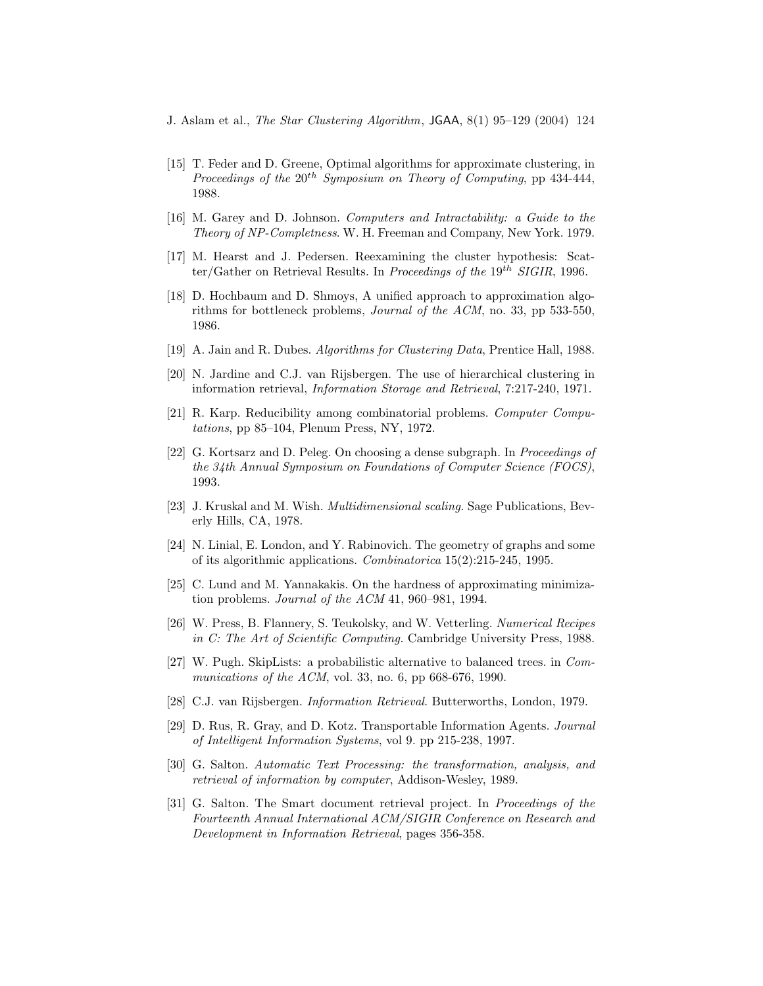- J. Aslam et al., *The Star Clustering Algorithm*, JGAA, 8(1) 95–129 (2004) 124
- [15] T. Feder and D. Greene, Optimal algorithms for approximate clustering, in *Proceedings of the* 20th *Symposium on Theory of Computing*, pp 434-444, 1988.
- [16] M. Garey and D. Johnson. *Computers and Intractability: a Guide to the Theory of NP-Completness*. W. H. Freeman and Company, New York. 1979.
- [17] M. Hearst and J. Pedersen. Reexamining the cluster hypothesis: Scatter/Gather on Retrieval Results. In *Proceedings of the* 19th *SIGIR*, 1996.
- [18] D. Hochbaum and D. Shmoys, A unified approach to approximation algorithms for bottleneck problems, *Journal of the ACM*, no. 33, pp 533-550, 1986.
- [19] A. Jain and R. Dubes. *Algorithms for Clustering Data*, Prentice Hall, 1988.
- [20] N. Jardine and C.J. van Rijsbergen. The use of hierarchical clustering in information retrieval, *Information Storage and Retrieval*, 7:217-240, 1971.
- [21] R. Karp. Reducibility among combinatorial problems. *Computer Computations*, pp 85–104, Plenum Press, NY, 1972.
- [22] G. Kortsarz and D. Peleg. On choosing a dense subgraph. In *Proceedings of the 34th Annual Symposium on Foundations of Computer Science (FOCS)*, 1993.
- [23] J. Kruskal and M. Wish. *Multidimensional scaling.* Sage Publications, Beverly Hills, CA, 1978.
- [24] N. Linial, E. London, and Y. Rabinovich. The geometry of graphs and some of its algorithmic applications. *Combinatorica* 15(2):215-245, 1995.
- [25] C. Lund and M. Yannakakis. On the hardness of approximating minimization problems. *Journal of the ACM* 41, 960–981, 1994.
- [26] W. Press, B. Flannery, S. Teukolsky, and W. Vetterling. *Numerical Recipes in C: The Art of Scientific Computing.* Cambridge University Press, 1988.
- [27] W. Pugh. SkipLists: a probabilistic alternative to balanced trees. in *Communications of the ACM*, vol. 33, no. 6, pp 668-676, 1990.
- [28] C.J. van Rijsbergen. *Information Retrieval*. Butterworths, London, 1979.
- [29] D. Rus, R. Gray, and D. Kotz. Transportable Information Agents. *Journal of Intelligent Information Systems*, vol 9. pp 215-238, 1997.
- [30] G. Salton. *Automatic Text Processing: the transformation, analysis, and retrieval of information by computer*, Addison-Wesley, 1989.
- [31] G. Salton. The Smart document retrieval project. In *Proceedings of the Fourteenth Annual International ACM/SIGIR Conference on Research and Development in Information Retrieval*, pages 356-358.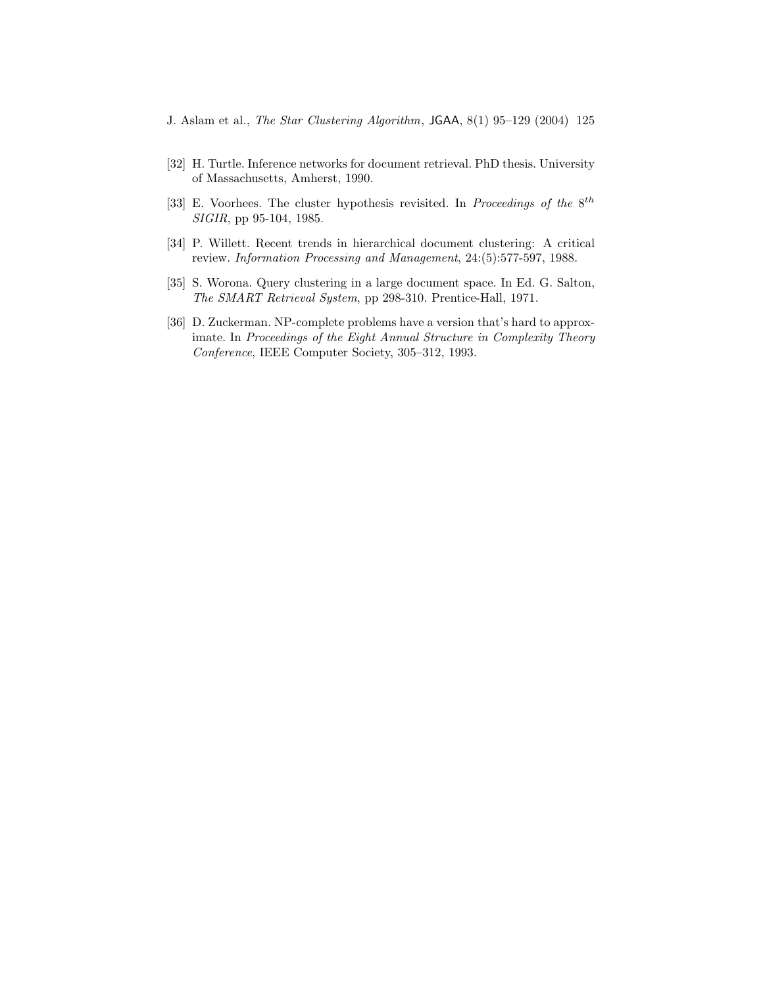- [32] H. Turtle. Inference networks for document retrieval. PhD thesis. University of Massachusetts, Amherst, 1990.
- [33] E. Voorhees. The cluster hypothesis revisited. In *Proceedings of the* 8<sup>th</sup> *SIGIR*, pp 95-104, 1985.
- [34] P. Willett. Recent trends in hierarchical document clustering: A critical review. *Information Processing and Management*, 24:(5):577-597, 1988.
- [35] S. Worona. Query clustering in a large document space. In Ed. G. Salton, *The SMART Retrieval System*, pp 298-310. Prentice-Hall, 1971.
- [36] D. Zuckerman. NP-complete problems have a version that's hard to approximate. In *Proceedings of the Eight Annual Structure in Complexity Theory Conference*, IEEE Computer Society, 305–312, 1993.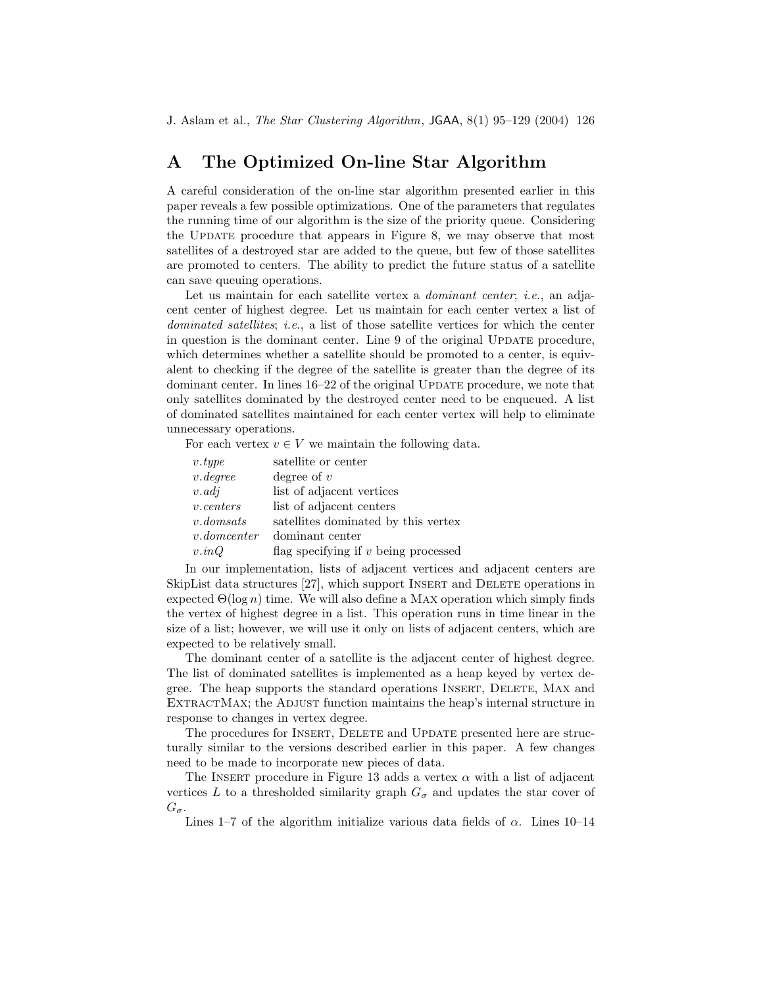# **A The Optimized On-line Star Algorithm**

A careful consideration of the on-line star algorithm presented earlier in this paper reveals a few possible optimizations. One of the parameters that regulates the running time of our algorithm is the size of the priority queue. Considering the UPDATE procedure that appears in Figure 8, we may observe that most satellites of a destroyed star are added to the queue, but few of those satellites are promoted to centers. The ability to predict the future status of a satellite can save queuing operations.

Let us maintain for each satellite vertex a *dominant center*; *i.e.*, an adjacent center of highest degree. Let us maintain for each center vertex a list of *dominated satellites*; *i.e.*, a list of those satellite vertices for which the center in question is the dominant center. Line 9 of the original UPDATE procedure, which determines whether a satellite should be promoted to a center, is equivalent to checking if the degree of the satellite is greater than the degree of its dominant center. In lines 16–22 of the original UPDATE procedure, we note that only satellites dominated by the destroyed center need to be enqueued. A list of dominated satellites maintained for each center vertex will help to eliminate unnecessary operations.

For each vertex  $v \in V$  we maintain the following data.

| $v.\mathit{type}$        | satellite or center                    |
|--------------------------|----------------------------------------|
| $v.\ndegree$             | degree of $v$                          |
| v.addj                   | list of adjacent vertices              |
| v. centers               | list of adjacent centers               |
| $v \cdot$ <i>domsats</i> | satellites dominated by this vertex    |
| $v \ldotp d$ omcenter    | dominant center                        |
| v.inQ                    | flag specifying if $v$ being processed |

In our implementation, lists of adjacent vertices and adjacent centers are SkipList data structures [27], which support INSERT and DELETE operations in expected  $\Theta(\log n)$  time. We will also define a MAX operation which simply finds the vertex of highest degree in a list. This operation runs in time linear in the size of a list; however, we will use it only on lists of adjacent centers, which are expected to be relatively small.

The dominant center of a satellite is the adjacent center of highest degree. The list of dominated satellites is implemented as a heap keyed by vertex degree. The heap supports the standard operations INSERT, DELETE, MAX and EXTRACTMAX; the ADJUST function maintains the heap's internal structure in response to changes in vertex degree.

The procedures for INSERT, DELETE and UPDATE presented here are structurally similar to the versions described earlier in this paper. A few changes need to be made to incorporate new pieces of data.

The INSERT procedure in Figure 13 adds a vertex  $\alpha$  with a list of adjacent vertices L to a thresholded similarity graph  $G_{\sigma}$  and updates the star cover of  $G_{\sigma}$ .

Lines 1–7 of the algorithm initialize various data fields of  $\alpha$ . Lines 10–14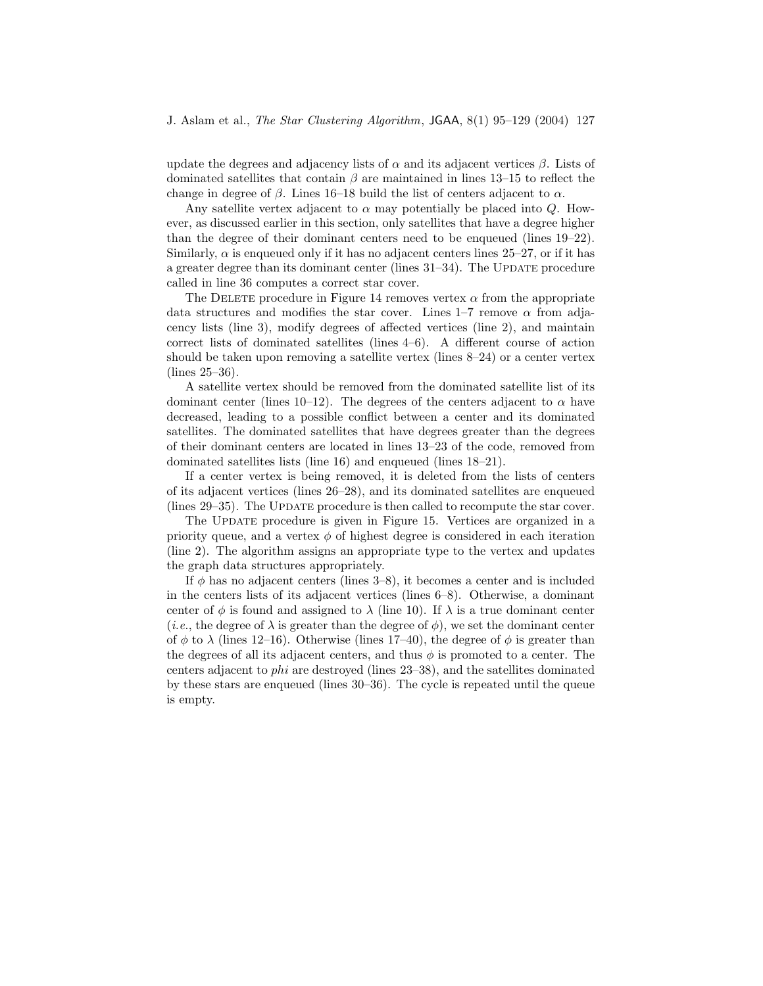update the degrees and adjacency lists of  $\alpha$  and its adjacent vertices  $\beta$ . Lists of dominated satellites that contain  $\beta$  are maintained in lines 13–15 to reflect the change in degree of  $\beta$ . Lines 16–18 build the list of centers adjacent to  $\alpha$ .

Any satellite vertex adjacent to  $\alpha$  may potentially be placed into  $Q$ . However, as discussed earlier in this section, only satellites that have a degree higher than the degree of their dominant centers need to be enqueued (lines 19–22). Similarly,  $\alpha$  is enqueued only if it has no adjacent centers lines 25–27, or if it has a greater degree than its dominant center (lines  $31-34$ ). The UPDATE procedure called in line 36 computes a correct star cover.

The DELETE procedure in Figure 14 removes vertex  $\alpha$  from the appropriate data structures and modifies the star cover. Lines 1–7 remove  $\alpha$  from adjacency lists (line 3), modify degrees of affected vertices (line 2), and maintain correct lists of dominated satellites (lines 4–6). A different course of action should be taken upon removing a satellite vertex (lines 8–24) or a center vertex (lines 25–36).

A satellite vertex should be removed from the dominated satellite list of its dominant center (lines 10–12). The degrees of the centers adjacent to  $\alpha$  have decreased, leading to a possible conflict between a center and its dominated satellites. The dominated satellites that have degrees greater than the degrees of their dominant centers are located in lines 13–23 of the code, removed from dominated satellites lists (line 16) and enqueued (lines 18–21).

If a center vertex is being removed, it is deleted from the lists of centers of its adjacent vertices (lines 26–28), and its dominated satellites are enqueued (lines  $29-35$ ). The UPDATE procedure is then called to recompute the star cover.

The UPDATE procedure is given in Figure 15. Vertices are organized in a priority queue, and a vertex  $\phi$  of highest degree is considered in each iteration (line 2). The algorithm assigns an appropriate type to the vertex and updates the graph data structures appropriately.

If  $\phi$  has no adjacent centers (lines 3–8), it becomes a center and is included in the centers lists of its adjacent vertices (lines 6–8). Otherwise, a dominant center of  $\phi$  is found and assigned to  $\lambda$  (line 10). If  $\lambda$  is a true dominant center (*i.e.*, the degree of  $\lambda$  is greater than the degree of  $\phi$ ), we set the dominant center of  $\phi$  to  $\lambda$  (lines 12–16). Otherwise (lines 17–40), the degree of  $\phi$  is greater than the degrees of all its adjacent centers, and thus  $\phi$  is promoted to a center. The centers adjacent to phi are destroyed (lines 23–38), and the satellites dominated by these stars are enqueued (lines 30–36). The cycle is repeated until the queue is empty.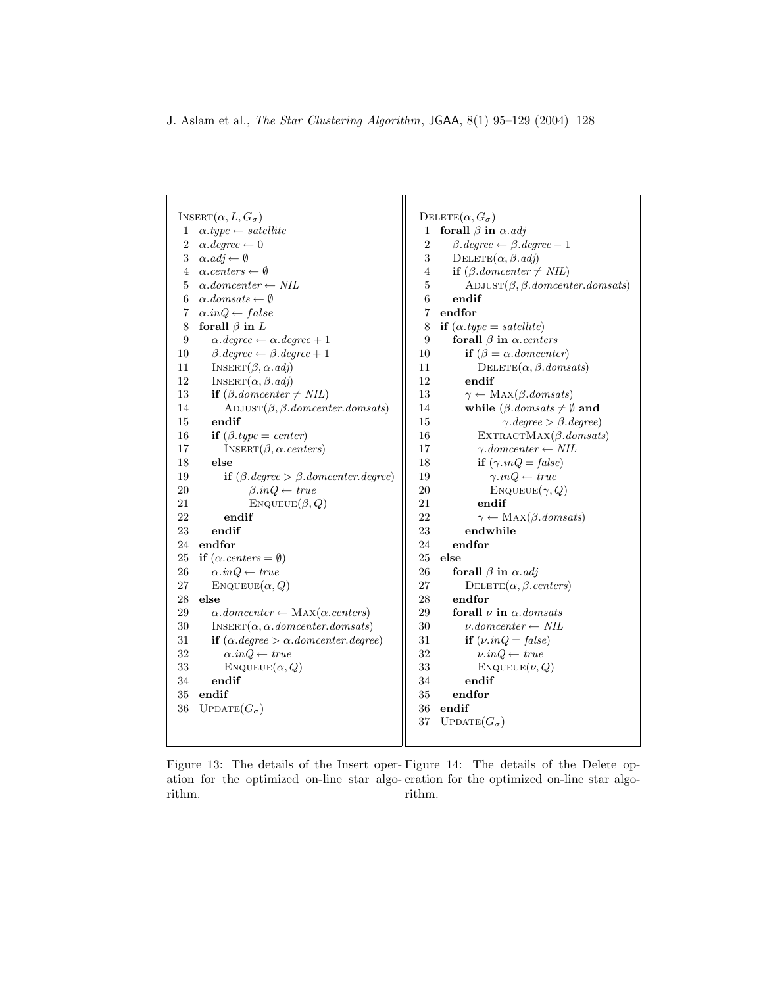INSERT $(\alpha, L, G_{\sigma})$ 1  $\alpha.\textit{type} \leftarrow \textit{satellite}$ 2  $\alpha$ *.degree*  $\leftarrow 0$ 3  $\alpha$ .*adj*  $\leftarrow \emptyset$ 4  $\alpha$ .centers  $\leftarrow \emptyset$ <br>5  $\alpha$ .domcenter 5  $\alpha$ .domcenter  $\leftarrow$  *NIL*<br>6  $\alpha$ .domsats  $\leftarrow$  0 6  $\alpha$ *.domsats*  $\leftarrow \emptyset$ <br>7  $\alpha$ *.in* $\omega$   $\leftarrow$  *false* 7  $\alpha.inQ \leftarrow false$ <br>8 forall  $\beta$  in  $L$ **forall**  $\beta$  **in**  $L$ 9  $\alpha$ .degree  $\leftarrow \alpha$ .degree + 1<br>10  $\beta$ .degree  $\leftarrow \beta$ .degree + 1 10  $\beta$ *. degree*  $\leftarrow \beta$ *. degree* + 1<br>11 **INSERT** $(\beta, \alpha$ *. adj*)  $INSENT(\beta, \alpha.add)$ 12 INSERT $(\alpha, \beta, adj)$ 13 **if**  $(\beta \text{.} dometer \neq \text{NIL})$ <br>14 **ADJUST** $(\beta, \beta \text{.} domega$ 14 Adjust(β, β.*domcenter*.*domsats*) 15 **endif** 16 **if**  $(\beta \text{.type} = center)$ 17 Insert(β, α.*centers*) 18 **else** 19 **if** (β.*degree* > β.*domcenter*.*degree*) 20  $\beta.inQ \leftarrow true$ <br>21 **ENOUEUE**(*A.C*)  $\text{ENQUEUE}(\beta,Q)$ 22 **endif** 23 **endif** 24 **endfor** 25 **if**  $(\alpha \cdot \text{centers} = \emptyset)$ <br>26  $\alpha \cdot \text{in} \Omega \leftarrow \text{true}$ 26  $\alpha.inQ \leftarrow true$ <br>27 ENOUEUE( $\alpha$ , 0)  $\text{ENQUEUE}(\alpha, Q)$ 28 **else** 29  $\alpha$ .domcenter ← MAX( $\alpha$ .centers)<br>30 INSERT( $\alpha$ ,  $\alpha$ .domcenter.domsats)  $INSERT(\alpha, \alpha.domcenter.domsats)$ 31 **if**  $(\alpha \cdot degree > \alpha \cdot d$ *omcenter*.*degree*) 32  $\alpha.inQ \leftarrow true$ <br>33 **ENQUEUE**( $\alpha, \beta$ )  $\text{ENQUEUE}(\alpha, Q)$ 34 **endif** 35 **endif** 36 UPDATE $(G_{\sigma})$  $\mathrm{DELETE}(\alpha, G_{\sigma})$ 1 **forall** β **in** α.*adj* 2  $\beta$ .degree ←  $\beta$ .degree – 1<br>3 DELETE( $\alpha$ ,  $\beta$ , adj)  $\mathrm{DELETE}(\alpha, \beta.add)$ 4 **if**  $(\beta \text{.} \text{domcenter} \neq \text{NIL})$ <br>5 **ADJUST** $(\beta, \beta \text{.} \text{domcen})$ 5 Adjust(β, β.*domcenter*.*domsats*) 6 **endif** 7 **endfor** 8 **if**  $(\alpha \text{.type} = \text{satellite})$ 9 **forall** β **in** α.*centers* 10 **if**  $(\beta = \alpha \cdot \text{domcenter})$ 11  $D \text{ELETE}(\alpha, \beta \text{. } \text{domsats})$ 12 **endif** 13  $\gamma \leftarrow \text{MAX}(\beta \cdot \text{domsats})$ <br>14 **while**  $(\beta \cdot \text{domsats} \neq \emptyset)$ 14 **while**  $(\beta \cdot \text{domsats} \neq \emptyset \text{ and } \gamma \cdot \text{degree})$  3. degree)  $\gamma$ *.degree* >  $\beta$ *.degree*) 16 EXTRACTMAX(*β.domsats*) 17  $\gamma$ *. domcenter*  $\leftarrow$  *NIL*<br>18 **if**  $(\gamma$ *inQ* = *false*) **if**  $(\gamma.inQ = false)$ 19  $\gamma.inQ \leftarrow true$ <br>20 ENOUEUE( $\gamma$ , 0  $\text{ENQUEUE}(\gamma,Q)$ 21 **endif** 22  $\gamma \leftarrow \text{MAX}(\beta \cdot \text{domsats})$ <br>23 **endwhile** endwhile 24 **endfor** 25 **else** 26 **forall** β **in** α.*adj* 27 DELETE $(\alpha, \beta, centers)$ 28 **endfor** 29 **forall** ν **in** α.*domsats* 30  $\nu$ *. domcenter* ← *NIL*<br>31 **if**  $(\nu$ *inO* = *false*)  $\mathbf{if}$   $(\nu.inQ = false)$ 32  $\nu.inQ \leftarrow true$ <br>33  $\text{ENQUEUE}(\nu, Q)$  $\text{ENQUEUE}(\nu, Q)$ 34 **endif** 35 **endfor** 36 **endif** 37 UPDATE $(G_{\sigma})$ 

Figure 13: The details of the Insert oper-Figure 14: The details of the Delete opation for the optimized on-line star algo-eration for the optimized on-line star algorithm. rithm.